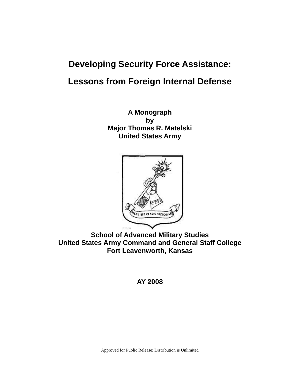# **Developing Security Force Assistance: Lessons from Foreign Internal Defense**

**A Monograph by Major Thomas R. Matelski United States Army** 



**School of Advanced Military Studies United States Army Command and General Staff College Fort Leavenworth, Kansas** 

## **AY 2008**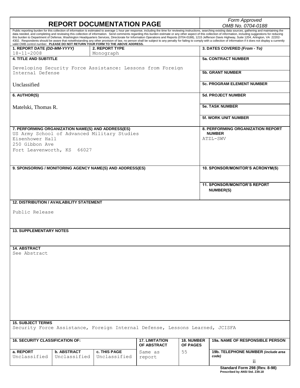# **REPORT DOCUMENTATION PAGE** *Form Approved*

*OMB No. 0704-0188*

|                                                                                                                       |                                    |                                                                                |                                      |                                      | Public reporting burden for this collection of information is estimated to average 1 hour per response, including the time for reviewing instructions, searching existing data sources, gathering and maintaining the<br>data needed, and completing and reviewing this collection of information. Send comments regarding this burden estimate or any other aspect of this collection of information, including suggestions for reducing<br>this burden to Department of Defense, Washington Headquarters Services, Directorate for Information Operations and Reports (0704-0188), 1215 Jefferson Davis Highway, Suite 1204, Arlington, VA 22202- |  |
|-----------------------------------------------------------------------------------------------------------------------|------------------------------------|--------------------------------------------------------------------------------|--------------------------------------|--------------------------------------|-----------------------------------------------------------------------------------------------------------------------------------------------------------------------------------------------------------------------------------------------------------------------------------------------------------------------------------------------------------------------------------------------------------------------------------------------------------------------------------------------------------------------------------------------------------------------------------------------------------------------------------------------------|--|
|                                                                                                                       |                                    | valid OMB control number. PLEASE DO NOT RETURN YOUR FORM TO THE ABOVE ADDRESS. |                                      |                                      | 4302. Respondents should be aware that notwithstanding any other provision of law, no person shall be subject to any penalty for failing to comply with a collection of information if it does not display a currently                                                                                                                                                                                                                                                                                                                                                                                                                              |  |
| 1. REPORT DATE (DD-MM-YYYY)<br>$18 - 11 - 2008$                                                                       |                                    | 2. REPORT TYPE<br>Monograph                                                    |                                      |                                      | 3. DATES COVERED (From - To)                                                                                                                                                                                                                                                                                                                                                                                                                                                                                                                                                                                                                        |  |
| <b>4. TITLE AND SUBTITLE</b>                                                                                          |                                    |                                                                                |                                      |                                      | <b>5a. CONTRACT NUMBER</b>                                                                                                                                                                                                                                                                                                                                                                                                                                                                                                                                                                                                                          |  |
| Developing Security Force Assistance: Lessons from Foreign<br>Internal Defense                                        |                                    |                                                                                |                                      |                                      | <b>5b. GRANT NUMBER</b>                                                                                                                                                                                                                                                                                                                                                                                                                                                                                                                                                                                                                             |  |
| Unclassified                                                                                                          |                                    |                                                                                |                                      |                                      | <b>5c. PROGRAM ELEMENT NUMBER</b>                                                                                                                                                                                                                                                                                                                                                                                                                                                                                                                                                                                                                   |  |
| 6. AUTHOR(S)                                                                                                          |                                    |                                                                                |                                      |                                      | <b>5d. PROJECT NUMBER</b>                                                                                                                                                                                                                                                                                                                                                                                                                                                                                                                                                                                                                           |  |
| Matelski, Thomas R.                                                                                                   |                                    |                                                                                |                                      |                                      | <b>5e. TASK NUMBER</b>                                                                                                                                                                                                                                                                                                                                                                                                                                                                                                                                                                                                                              |  |
|                                                                                                                       |                                    |                                                                                |                                      |                                      | <b>5f. WORK UNIT NUMBER</b>                                                                                                                                                                                                                                                                                                                                                                                                                                                                                                                                                                                                                         |  |
| 7. PERFORMING ORGANIZATION NAME(S) AND ADDRESS(ES)<br>Eisenhower Hall<br>250 Gibbon Ave<br>Fort Leavenworth, KS 66027 |                                    | US Army School of Advanced Military Studies                                    |                                      |                                      | <b>8. PERFORMING ORGANIZATION REPORT</b><br><b>NUMBER</b><br>ATZL-SWV                                                                                                                                                                                                                                                                                                                                                                                                                                                                                                                                                                               |  |
| 9. SPONSORING / MONITORING AGENCY NAME(S) AND ADDRESS(ES)                                                             |                                    |                                                                                |                                      |                                      | 10. SPONSOR/MONITOR'S ACRONYM(S)                                                                                                                                                                                                                                                                                                                                                                                                                                                                                                                                                                                                                    |  |
|                                                                                                                       |                                    |                                                                                |                                      |                                      | <b>11. SPONSOR/MONITOR'S REPORT</b><br><b>NUMBER(S)</b>                                                                                                                                                                                                                                                                                                                                                                                                                                                                                                                                                                                             |  |
| <b>12. DISTRIBUTION / AVAILABILITY STATEMENT</b>                                                                      |                                    |                                                                                |                                      |                                      |                                                                                                                                                                                                                                                                                                                                                                                                                                                                                                                                                                                                                                                     |  |
| Public Release                                                                                                        |                                    |                                                                                |                                      |                                      |                                                                                                                                                                                                                                                                                                                                                                                                                                                                                                                                                                                                                                                     |  |
| <b>13. SUPPLEMENTARY NOTES</b>                                                                                        |                                    |                                                                                |                                      |                                      |                                                                                                                                                                                                                                                                                                                                                                                                                                                                                                                                                                                                                                                     |  |
| <b>14. ABSTRACT</b><br>See Abstract                                                                                   |                                    |                                                                                |                                      |                                      |                                                                                                                                                                                                                                                                                                                                                                                                                                                                                                                                                                                                                                                     |  |
| <b>15. SUBJECT TERMS</b>                                                                                              |                                    |                                                                                |                                      |                                      |                                                                                                                                                                                                                                                                                                                                                                                                                                                                                                                                                                                                                                                     |  |
| Security Force Assistance, Foreign Internal Defense, Lessons Learned, JCISFA                                          |                                    |                                                                                |                                      |                                      |                                                                                                                                                                                                                                                                                                                                                                                                                                                                                                                                                                                                                                                     |  |
| <b>16. SECURITY CLASSIFICATION OF:</b>                                                                                |                                    |                                                                                | <b>17. LIMITATION</b><br>OF ABSTRACT | <b>18. NUMBER</b><br><b>OF PAGES</b> | 19a. NAME OF RESPONSIBLE PERSON                                                                                                                                                                                                                                                                                                                                                                                                                                                                                                                                                                                                                     |  |
| a. REPORT<br>Unclassified                                                                                             | <b>b. ABSTRACT</b><br>Unclassified | c. THIS PAGE<br>Unclassified                                                   | Same as<br>report                    | 55                                   | 19b. TELEPHONE NUMBER (include area<br>code)                                                                                                                                                                                                                                                                                                                                                                                                                                                                                                                                                                                                        |  |
|                                                                                                                       |                                    |                                                                                |                                      |                                      | $\overline{\mathbf{u}}$                                                                                                                                                                                                                                                                                                                                                                                                                                                                                                                                                                                                                             |  |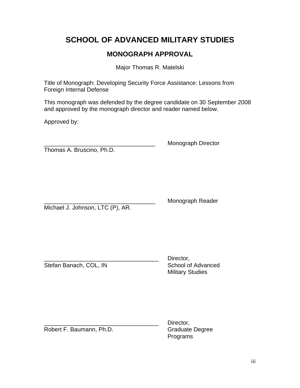# **SCHOOL OF ADVANCED MILITARY STUDIES**

## **MONOGRAPH APPROVAL**

Major Thomas R. Matelski

Title of Monograph: Developing Security Force Assistance: Lessons from Foreign Internal Defense

This monograph was defended by the degree candidate on 30 September 2008 and approved by the monograph director and reader named below.

Approved by:

Thomas A. Bruscino, Ph.D.

\_\_\_\_\_\_\_\_\_\_\_\_\_\_\_\_\_\_\_\_\_\_\_\_\_\_\_\_\_\_\_\_\_\_ Monograph Director

Michael J. Johnson, LTC (P), AR.

Monograph Reader

Stefan Banach, COL, IN School of Advanced

Director, Military Studies

Robert F. Baumann, Ph.D. Graduate Degree

Director, Programs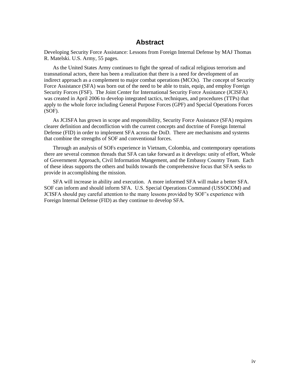## **Abstract**

Developing Security Force Assistance: Lessons from Foreign Internal Defense by MAJ Thomas R. Matelski. U.S. Army, 55 pages.

As the United States Army continues to fight the spread of radical religious terrorism and transnational actors, there has been a realization that there is a need for development of an indirect approach as a complement to major combat operations (MCOs). The concept of Security Force Assistance (SFA) was born out of the need to be able to train, equip, and employ Foreign Security Forces (FSF). The Joint Center for International Security Force Assistance (JCISFA) was created in April 2006 to develop integrated tactics, techniques, and procedures (TTPs) that apply to the whole force including General Purpose Forces (GPF) and Special Operations Forces (SOF).

As JCISFA has grown in scope and responsibility, Security Force Assistance (SFA) requires clearer definition and deconfliction with the current concepts and doctrine of Foreign Internal Defense (FID) in order to implement SFA across the DoD. There are mechanisms and systems that combine the strengths of SOF and conventional forces.

Through an analysis of SOFs experience in Vietnam, Colombia, and contemporary operations there are several common threads that SFA can take forward as it develops: unity of effort, Whole of Government Approach, Civil Information Mangement, and the Embassy Country Team. Each of these ideas supports the others and builds towards the comprehensive focus that SFA seeks to provide in accomplishing the mission.

SFA will increase in ability and execution. A more informed SFA will make a better SFA. SOF can inform and should inform SFA. U.S. Special Operations Command (USSOCOM) and JCISFA should pay careful attention to the many lessons provided by SOF"s experience with Foreign Internal Defense (FID) as they continue to develop SFA.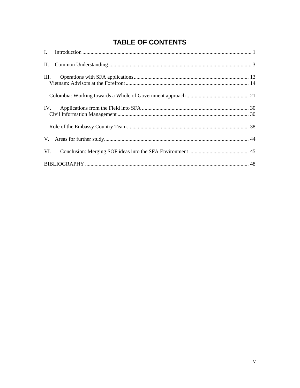# **TABLE OF CONTENTS**

| III. |  |
|------|--|
|      |  |
|      |  |
|      |  |
|      |  |
| VI.  |  |
|      |  |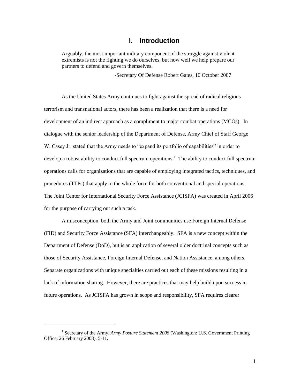## **I. Introduction**

Arguably, the most important military component of the struggle against violent extremists is not the fighting we do ourselves, but how well we help prepare our partners to defend and govern themselves.

-Secretary Of Defense Robert Gates, 10 October 2007

As the United States Army continues to fight against the spread of radical religious terrorism and transnational actors, there has been a realization that there is a need for development of an indirect approach as a compliment to major combat operations (MCOs). In dialogue with the senior leadership of the Department of Defense, Army Chief of Staff George W. Casey Jr. stated that the Army needs to "expand its portfolio of capabilities" in order to develop a robust ability to conduct full spectrum operations.<sup>1</sup> The ability to conduct full spectrum operations calls for organizations that are capable of employing integrated tactics, techniques, and procedures (TTPs) that apply to the whole force for both conventional and special operations. The Joint Center for International Security Force Assistance (JCISFA) was created in April 2006 for the purpose of carrying out such a task.

A misconception, both the Army and Joint communities use Foreign Internal Defense (FID) and Security Force Assistance (SFA) interchangeably. SFA is a new concept within the Department of Defense (DoD), but is an application of several older doctrinal concepts such as those of Security Assistance, Foreign Internal Defense, and Nation Assistance, among others. Separate organizations with unique specialties carried out each of these missions resulting in a lack of information sharing. However, there are practices that may help build upon success in future operations. As JCISFA has grown in scope and responsibility, SFA requires clearer

<sup>&</sup>lt;sup>1</sup> Secretary of the Army, *Army Posture Statement 2008* (Washington: U.S. Government Printing Office, 26 February 2008), 5-11.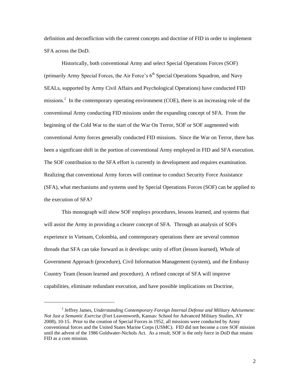definition and deconfliction with the current concepts and doctrine of FID in order to implement SFA across the DoD.

Historically, both conventional Army and select Special Operations Forces (SOF) (primarily Army Special Forces, the Air Force's  $6<sup>th</sup>$  Special Operations Squadron, and Navy SEALs, supported by Army Civil Affairs and Psychological Operations) have conducted FID missions.<sup>2</sup> In the contemporary operating environment (COE), there is an increasing role of the conventional Army conducting FID missions under the expanding concept of SFA. From the beginning of the Cold War to the start of the War On Terror, SOF or SOF augmented with conventional Army forces generally conducted FID missions. Since the War on Terror, there has been a significant shift in the portion of conventional Army employed in FID and SFA execution. The SOF contribution to the SFA effort is currently in development and requires examination. Realizing that conventional Army forces will continue to conduct Security Force Assistance (SFA), what mechanisms and systems used by Special Operations Forces (SOF) can be applied to the execution of SFA?

This monograph will show SOF employs procedures, lessons learned, and systems that will assist the Army in providing a clearer concept of SFA. Through an analysis of SOFs experience in Vietnam, Colombia, and contemporary operations there are several common threads that SFA can take forward as it develops: unity of effort (lesson learned), Whole of Government Approach (procedure), Civil Information Management (system), and the Embassy Country Team (lesson learned and procedure). A refined concept of SFA will improve capabilities, eliminate redundant execution, and have possible implications on Doctrine,

<sup>2</sup> Jeffrey James, *Understanding Contemporary Foreign Internal Defense and Military Advisement: Not Just a Semantic Exercise* (Fort Leavenworth, Kansas: School for Advanced Military Studies, AY 2008), 10-15. Prior to the creation of Special Forces in 1952, all missions were conducted by Army conventional forces and the United States Marine Corps (USMC). FID did not become a core SOF mission until the advent of the 1986 Goldwater-Nichols Act. As a result, SOF is the only force in DoD that retains FID as a core mission.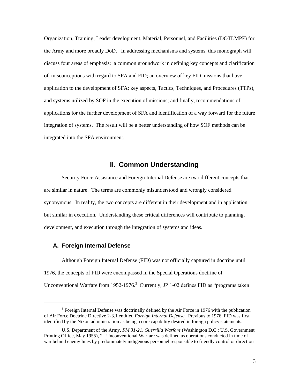Organization, Training, Leader development, Material, Personnel, and Facilities (DOTLMPF) for the Army and more broadly DoD. In addressing mechanisms and systems, this monograph will discuss four areas of emphasis: a common groundwork in defining key concepts and clarification of misconceptions with regard to SFA and FID; an overview of key FID missions that have application to the development of SFA; key aspects, Tactics, Techniques, and Procedures (TTPs), and systems utilized by SOF in the execution of missions; and finally, recommendations of applications for the further development of SFA and identification of a way forward for the future integration of systems. The result will be a better understanding of how SOF methods can be integrated into the SFA environment.

## **II. Common Understanding**

Security Force Assistance and Foreign Internal Defense are two different concepts that are similar in nature. The terms are commonly misunderstood and wrongly considered synonymous. In reality, the two concepts are different in their development and in application but similar in execution. Understanding these critical differences will contribute to planning, development, and execution through the integration of systems and ideas.

#### **A. Foreign Internal Defense**

 $\overline{\phantom{a}}$ 

Although Foreign Internal Defense (FID) was not officially captured in doctrine until 1976, the concepts of FID were encompassed in the Special Operations doctrine of Unconventional Warfare from 1952-1976.<sup>3</sup> Currently, JP 1-02 defines FID as "programs taken

 $3$  Foreign Internal Defense was doctrinally defined by the Air Force in 1976 with the publication of Air Force Doctrine Directive 2-3.1 entitled *Foreign Internal Defense*. Previous to 1976, FID was first identified by the Nixon administration as being a core capability desired in foreign policy statements.

U.S. Department of the Army, *FM 31-21*, *Guerrilla Warfare* (Washington D.C.: U.S. Government Printing Office, May 1955), 2. Unconventional Warfare was defined as operations conducted in time of war behind enemy lines by predominately indigenous personnel responsible to friendly control or direction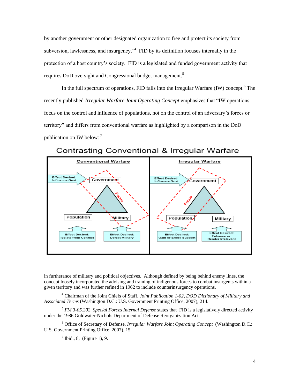by another government or other designated organization to free and protect its society from subversion, lawlessness, and insurgency.<sup> $n^4$ </sup> FID by its definition focuses internally in the protection of a host country"s society. FID is a legislated and funded government activity that requires DoD oversight and Congressional budget management.<sup>5</sup>

In the full spectrum of operations, FID falls into the Irregular Warfare (IW) concept.<sup>6</sup> The recently published *Irregular Warfare Joint Operating Concept* emphasizes that "IW operations focus on the control and influence of populations, not on the control of an adversary"s forces or territory" and differs from conventional warfare as highlighted by a comparison in the DoD publication on IW below:  $<sup>7</sup>$ </sup>



Contrasting Conventional & Irregular Warfare

in furtherance of military and political objectives. Although defined by being behind enemy lines, the concept loosely incorporated the advising and training of indigenous forces to combat insurgents within a given territory and was further refined in 1962 to include counterinsurgency operations.

4 Chairman of the Joint Chiefs of Staff, *Joint Publication 1-02*, *DOD Dictionary of Military and Associated Terms* (Washington D.C.: U.S. Government Printing Office, 2007), 214.

<sup>5</sup> *FM 3-05.202, Special Forces Internal Defense* states that FID is a legislatively directed activity under the 1986 Goldwater-Nichols Department of Defense Reorganization Act.

6 Office of Secretary of Defense, *Irregular Warfare Joint Operating Concept* (Washington D.C.: U.S. Government Printing Office, 2007), 15.

 $<sup>7</sup>$  Ibid., 8, (Figure 1), 9.</sup>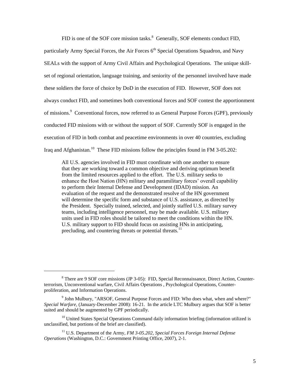FID is one of the SOF core mission tasks. $8$  Generally, SOF elements conduct FID, particularly Army Special Forces, the Air Forces  $6<sup>th</sup>$  Special Operations Squadron, and Navy SEALs with the support of Army Civil Affairs and Psychological Operations. The unique skillset of regional orientation, language training, and seniority of the personnel involved have made these soldiers the force of choice by DoD in the execution of FID. However, SOF does not always conduct FID, and sometimes both conventional forces and SOF contest the apportionment of missions.<sup>9</sup> Conventional forces, now referred to as General Purpose Forces (GPF), previously conducted FID missions with or without the support of SOF. Currently SOF is engaged in the execution of FID in both combat and peacetime environments in over 40 countries, excluding Iraq and Afghanistan.<sup>10</sup> These FID missions follow the principles found in FM 3-05.202:

All U.S. agencies involved in FID must coordinate with one another to ensure that they are working toward a common objective and deriving optimum benefit from the limited resources applied to the effort. The U.S. military seeks to enhance the Host Nation (HN) military and paramilitary forces" overall capability to perform their Internal Defense and Development (IDAD) mission. An evaluation of the request and the demonstrated resolve of the HN government will determine the specific form and substance of U.S. assistance, as directed by the President. Specially trained, selected, and jointly staffed U.S. military survey teams, including intelligence personnel, may be made available. U.S. military units used in FID roles should be tailored to meet the conditions within the HN. U.S. military support to FID should focus on assisting HNs in anticipating, precluding, and countering threats or potential threats.<sup>11</sup>

<sup>&</sup>lt;sup>8</sup> There are 9 SOF core missions (JP 3-05): FID, Special Reconnaissance, Direct Action, Counterterrorism, Unconventional warfare, Civil Affairs Operations , Psychological Operations, Counterproliferation, and Information Operations.

<sup>&</sup>lt;sup>9</sup> John Mulbury, "ARSOF, General Purpose Forces and FID: Who does what, when and where?" *Special Warfare*, (January-December 2008): 16-21. In the article LTC Mulbury argues that SOF is better suited and should be augmented by GPF periodically.

 $10$  United States Special Operations Command daily information briefing (information utilized is unclassified, but portions of the brief are classified).

<sup>11</sup> U.S. Department of the Army, *FM 3-05.202*, *Special Forces Foreign Internal Defense Operations* (Washington, D.C.: Government Printing Office, 2007), 2-1.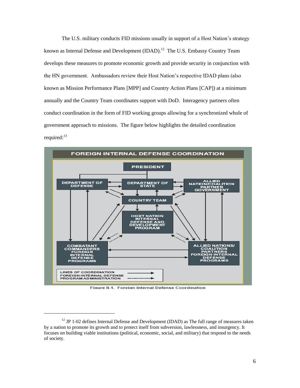The U.S. military conducts FID missions usually in support of a Host Nation"s strategy known as Internal Defense and Development  $(IDAD).<sup>12</sup>$  The U.S. Embassy Country Team develops these measures to promote economic growth and provide security in conjunction with the HN government. Ambassadors review their Host Nation"s respective IDAD plans (also known as Mission Performance Plans [MPP] and Country Action Plans [CAP]) at a minimum annually and the Country Team coordinates support with DoD. Interagency partners often conduct coordination in the form of FID working groups allowing for a synchronized whole of government approach to missions. The figure below highlights the detailed coordination required: $13$ 



Figure II-1. Foreign Internal Defense Coordination

 $12$  JP 1-02 defines Internal Defense and Development (IDAD) as The full range of measures taken by a nation to promote its growth and to protect itself from subversion, lawlessness, and insurgency. It focuses on building viable institutions (political, economic, social, and military) that respond to the needs of society.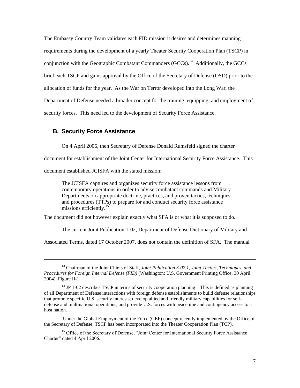The Embassy Country Team validates each FID mission it desires and determines manning requirements during the development of a yearly Theater Security Cooperation Plan (TSCP) in conjunction with the Geographic Combatant Commanders  $(GCCs)$ .<sup>14</sup> Additionally, the GCCs brief each TSCP and gains approval by the Office of the Secretary of Defense (OSD) prior to the allocation of funds for the year. As the War on Terror developed into the Long War, the Department of Defense needed a broader concept for the training, equipping, and employment of security forces. This need led to the development of Security Force Assistance.

## **B. Security Force Assistance**

 $\overline{\phantom{a}}$ 

On 4 April 2006, then Secretary of Defense Donald Rumsfeld signed the charter

document for establishment of the Joint Center for International Security Force Assistance. This

document established JCISFA with the stated mission:

The JCISFA captures and organizes security force assistance lessons from contemporary operations in order to advise combatant commands and Military Departments on appropriate doctrine, practices, and proven tactics, techniques and procedures (TTPs) to prepare for and conduct security force assistance missions efficiently.<sup>15</sup>

The document did not however explain exactly what SFA is or what it is supposed to do.

The current Joint Publication 1-02, Department of Defense Dictionary of Military and

Associated Terms, dated 17 October 2007, does not contain the definition of SFA. The manual

 Under the Global Employment of the Force (GEF) concept recently implemented by the Office of the Secretary of Defense, TSCP has been incorporated into the Theater Cooperation Plan (TCP).

<sup>15</sup> Office of the Secretary of Defense, "Joint Center for International Security Force Assistance Charter" dated 4 April 2006.

<sup>13</sup> Chairman of the Joint Chiefs of Staff, *Joint Publication 3-07.1, Joint Tactics, Techniques, and Procedures for Foreign Internal Defense (FID)* (Washington: U.S. Government Printing Office, 30 April 2004), Figure II-1.

 $14$  JP 1-02 describes TSCP in terms of security cooperation planning . This is defined as planning of all Department of Defense interactions with foreign defense establishments to build defense relationships that promote specific U.S. security interests, develop allied and friendly military capabilities for selfdefense and multinational operations, and provide U.S. forces with peacetime and contingency access to a host nation.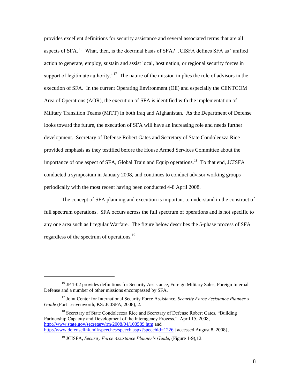provides excellent definitions for security assistance and several associated terms that are all aspects of SFA.<sup>16</sup> What, then, is the doctrinal basis of SFA? JCISFA defines SFA as "unified action to generate, employ, sustain and assist local, host nation, or regional security forces in support of legitimate authority."<sup>17</sup> The nature of the mission implies the role of advisors in the execution of SFA. In the current Operating Environment (OE) and especially the CENTCOM Area of Operations (AOR), the execution of SFA is identified with the implementation of Military Transition Teams (MiTT) in both Iraq and Afghanistan. As the Department of Defense looks toward the future, the execution of SFA will have an increasing role and needs further development. Secretary of Defense Robert Gates and Secretary of State Condoleezza Rice provided emphasis as they testified before the House Armed Services Committee about the importance of one aspect of SFA, Global Train and Equip operations.<sup>18</sup> To that end, JCISFA conducted a symposium in January 2008, and continues to conduct advisor working groups periodically with the most recent having been conducted 4-8 April 2008.

The concept of SFA planning and execution is important to understand in the construct of full spectrum operations. SFA occurs across the full spectrum of operations and is not specific to any one area such as Irregular Warfare. The figure below describes the 5-phase process of SFA regardless of the spectrum of operations.<sup>19</sup>

 $\overline{\phantom{a}}$ 

<sup>&</sup>lt;sup>16</sup> JP 1-02 provides definitions for Security Assistance, Foreign Military Sales, Foreign Internal Defense and a number of other missions encompassed by SFA.

<sup>17</sup> Joint Center for International Security Force Assistance, *Security Force Assistance Planner's Guide* (Fort Leavenworth, KS: JCISFA, 2008), 2.

<sup>&</sup>lt;sup>18</sup> Secretary of State Condoleezza Rice and Secretary of Defense Robert Gates, "Building" Partnership Capacity and Development of the Interagency Process." April 15, 2008, <http://www.state.gov/secretary/rm/2008/04/103589.htm>and <http://www.defenselink.mil/speeches/speech.aspx?speechid=1226>{accessed August 8, 2008}.

<sup>19</sup> JCISFA, *Security Force Assistance Planner's Guide*, (Figure 1-9),12.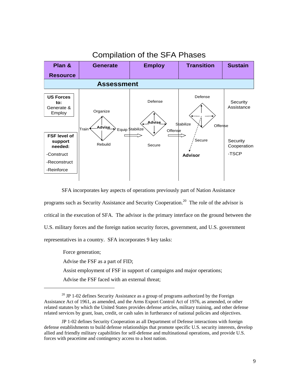

SFA incorporates key aspects of operations previously part of Nation Assistance programs such as Security Assistance and Security Cooperation.<sup>20</sup> The role of the advisor is critical in the execution of SFA. The advisor is the primary interface on the ground between the U.S. military forces and the foreign nation security forces, government, and U.S. government representatives in a country. SFA incorporates 9 key tasks:

 Force generation; Advise the FSF as a part of FID; Assist employment of FSF in support of campaigns and major operations; Advise the FSF faced with an external threat;

 $\overline{\phantom{a}}$ 

 $20$  JP 1-02 defines Security Assistance as a group of programs authorized by the Foreign Assistance Act of 1961, as amended, and the Arms Export Control Act of 1976, as amended, or other related statutes by which the United States provides defense articles, military training, and other defense related services by grant, loan, credit, or cash sales in furtherance of national policies and objectives.

JP 1-02 defines Security Cooperation as all Department of Defense interactions with foreign defense establishments to build defense relationships that promote specific U.S. security interests, develop allied and friendly military capabilities for self-defense and multinational operations, and provide U.S. forces with peacetime and contingency access to a host nation.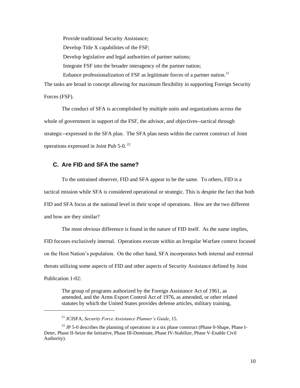Provide traditional Security Assistance; Develop Title X capabilities of the FSF; Develop legislative and legal authorities of partner nations; Integrate FSF into the broader interagency of the partner nation; Enhance professionalization of FSF as legitimate forces of a partner nation.<sup>21</sup>

The tasks are broad in concept allowing for maximum flexibility in supporting Foreign Security Forces (FSF).

The conduct of SFA is accomplished by multiple units and organizations across the whole of government in support of the FSF, the advisor, and objectives--tactical through strategic--expressed in the SFA plan. The SFA plan nests within the current construct of Joint operations expressed in Joint Pub 5-0.<sup>22</sup>

## **C. Are FID and SFA the same?**

To the untrained observer, FID and SFA appear to be the same. To others, FID is a tactical mission while SFA is considered operational or strategic. This is despite the fact that both FID and SFA focus at the national level in their scope of operations. How are the two different and how are they similar?

The most obvious difference is found in the nature of FID itself. As the name implies, FID focuses exclusively internal. Operations execute within an Irregular Warfare context focused on the Host Nation"s population. On the other hand, SFA incorporates both internal and external threats utilizing some aspects of FID and other aspects of Security Assistance defined by Joint Publication 1-02:

The group of programs authorized by the Foreign Assistance Act of 1961, as amended, and the Arms Export Control Act of 1976, as amended, or other related statutes by which the United States provides defense articles, military training,

<sup>21</sup> JCISFA, *Security Force Assistance Planner's Guide*, 15.

 $22$  JP 5-0 describes the planning of operations in a six phase construct (Phase 0-Shape, Phase I-Deter, Phase II-Seize the Initiative, Phase III-Dominate, Phase IV-Stabilize, Phase V-Enable Civil Authority).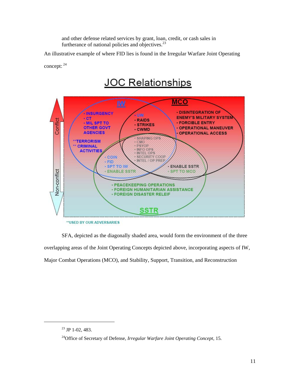and other defense related services by grant, loan, credit, or cash sales in furtherance of national policies and objectives.<sup>23</sup>

An illustrative example of where FID lies is found in the Irregular Warfare Joint Operating

concept:  $24$ 



\*\* USED BY OUR ADVERSARIES

SFA, depicted as the diagonally shaded area, would form the environment of the three overlapping areas of the Joint Operating Concepts depicted above, incorporating aspects of IW, Major Combat Operations (MCO), and Stability, Support, Transition, and Reconstruction

 $\overline{\phantom{a}}$ 

 $^{23}$  JP 1-02, 483.

<sup>24</sup>Office of Secretary of Defense, *Irregular Warfare Joint Operating Concept*, 15.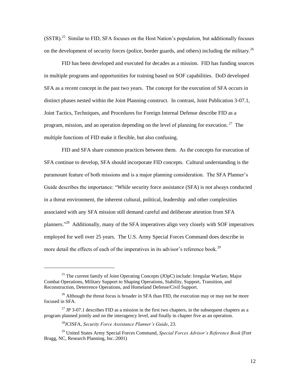$(SSTR).$ <sup>25</sup> Similar to FID, SFA focuses on the Host Nation's population, but additionally focuses on the development of security forces (police, border guards, and others) including the military.<sup>26</sup>

FID has been developed and executed for decades as a mission. FID has funding sources in multiple programs and opportunities for training based on SOF capabilities. DoD developed SFA as a recent concept in the past two years. The concept for the execution of SFA occurs in distinct phases nested within the Joint Planning construct. In contrast, Joint Publication 3-07.1, Joint Tactics, Techniques, and Procedures for Foreign Internal Defense describe FID as a program, mission, and an operation depending on the level of planning for execution.<sup>27</sup> The multiple functions of FID make it flexible, but also confusing.

FID and SFA share common practices between them. As the concepts for execution of SFA continue to develop, SFA should incorporate FID concepts. Cultural understanding is the paramount feature of both missions and is a major planning consideration. The SFA Planner's Guide describes the importance: "While security force assistance (SFA) is not always conducted in a threat environment, the inherent cultural, political, leadership and other complexities associated with any SFA mission still demand careful and deliberate attention from SFA planners."<sup>28</sup> Additionally, many of the SFA imperatives align very closely with SOF imperatives employed for well over 25 years. The U.S. Army Special Forces Command does describe in more detail the effects of each of the imperatives in its advisor's reference book.<sup>29</sup>

 $25$  The current family of Joint Operating Concepts (JOpC) include: Irregular Warfare, Major Combat Operations, Military Support to Shaping Operations, Stability, Support, Transition, and Reconstruction, Deterrence Operations, and Homeland Defense/Civil Support.

 $26$  Although the threat focus is broader in SFA than FID, the execution may or may not be more focused in SFA.

<sup>&</sup>lt;sup>27</sup> JP 3-07.1 describes FID as a mission in the first two chapters, in the subsequent chapters as a program planned jointly and on the interagency level, and finally in chapter five as an operation.

<sup>28</sup>JCISFA, *Security Force Assistance Planner's Guide*, 23.

<sup>29</sup> United States Army Special Forces Command, *Special Forces Advisor's Reference Book* (Fort Bragg, NC, Research Planning, Inc.:2001)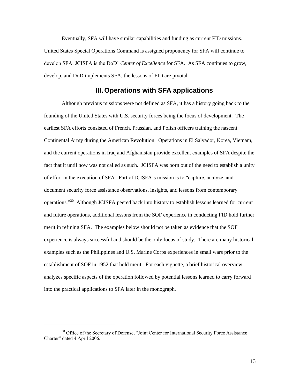Eventually, SFA will have similar capabilities and funding as current FID missions. United States Special Operations Command is assigned proponency for SFA will continue to develop SFA. JCISFA is the DoD" *Center of Excellence* for SFA. As SFA continues to grow, develop, and DoD implements SFA, the lessons of FID are pivotal.

## **III. Operations with SFA applications**

Although previous missions were not defined as SFA, it has a history going back to the founding of the United States with U.S. security forces being the focus of development. The earliest SFA efforts consisted of French, Prussian, and Polish officers training the nascent Continental Army during the American Revolution. Operations in El Salvador, Korea, Vietnam, and the current operations in Iraq and Afghanistan provide excellent examples of SFA despite the fact that it until now was not called as such. JCISFA was born out of the need to establish a unity of effort in the execution of SFA. Part of JCISFA"s mission is to "capture, analyze, and document security force assistance observations, insights, and lessons from contemporary operations."<sup>30</sup> Although JCISFA peered back into history to establish lessons learned for current and future operations, additional lessons from the SOF experience in conducting FID hold further merit in refining SFA. The examples below should not be taken as evidence that the SOF experience is always successful and should be the only focus of study. There are many historical examples such as the Philippines and U.S. Marine Corps experiences in small wars prior to the establishment of SOF in 1952 that hold merit. For each vignette, a brief historical overview analyzes specific aspects of the operation followed by potential lessons learned to carry forward into the practical applications to SFA later in the monograph.

 $\overline{\phantom{a}}$ 

<sup>&</sup>lt;sup>30</sup> Office of the Secretary of Defense, "Joint Center for International Security Force Assistance Charter" dated 4 April 2006.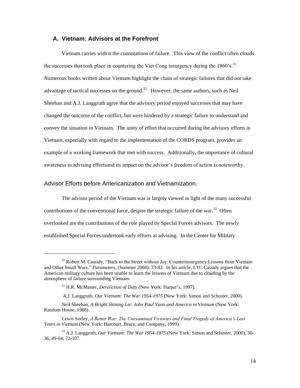## **A. Vietnam: Advisors at the Forefront**

Vietnam carries with it the connotations of failure. This view of the conflict often clouds the successes that took place in countering the Viet Cong insurgency during the  $1960$ 's.<sup>31</sup> Numerous books written about Vietnam highlight the chain of strategic failures that did not take advantage of tactical successes on the ground.<sup>32</sup> However, the same authors, such as Neil Sheehan and A.J. Langgruth agree that the advisory period enjoyed successes that may have changed the outcome of the conflict, but were hindered by a strategic failure to understand and convey the situation in Vietnam. The unity of effort that occurred during the advisory efforts in Vietnam, especially with regard to the implementation of the CORDS program, provides an example of a working framework that met with success. Additionally, the importance of cultural awareness in advising effortsand its impact on the advisor"s freedom of action is noteworthy.

## Advisor Efforts before Americanization and Vietnamization.

 $\overline{\phantom{a}}$ 

The advisor period of the Vietnam war is largely viewed in light of the many successful contributions of the conventional force, despite the strategic failure of the war.<sup>33</sup> Often overlooked are the contributions of the role played by Special Forces advisors. The newly established Special Forces undertook early efforts at advising. In the Center for Military

A.J. Langgruth, *Our Vietnam: The War 1954-1975* (New York: Simon and Schuster, 2000).

<sup>&</sup>lt;sup>31</sup> Robert M. Cassidy, "Back to the Street without Joy: Counterinsurgency Lessons from Vietnam and Other Small Wars," *Parameters*, (Summer 2004): 73-83. In his article, LTC Cassidy argues that the American military culture has been unable to learn the lessons of Vietnam due to clouding by the atmosphere of failure surrounding Vietnam.

<sup>&</sup>lt;sup>32</sup> H.R. McMaster, *Dereliction of Duty* (New York: Harper's, 1997).

Neil Sheehan, *A Bright Shining Lie: John Paul Vann and America in Vietnam* (New York: Random House, 1988).

Lewis Sorley, *A Better War: The Unexamined Victories and Final Tragedy of America's Last Years in Vietnam* (New York: Harcourt, Brace, and Company, 1999).

<sup>33</sup> A.J. Langgruth, *Our Vietnam: The War 1954-1975* (New York: Simon and Schuster, 2000), 30- 36, 49-64, 72-107.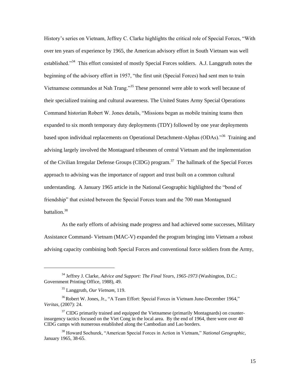History"s series on Vietnam, Jeffrey C. Clarke highlights the critical role of Special Forces, "With over ten years of experience by 1965, the American advisory effort in South Vietnam was well established."<sup>34</sup> This effort consisted of mostly Special Forces soldiers. A.J. Langgruth notes the beginning of the advisory effort in 1957, "the first unit (Special Forces) had sent men to train Vietnamese commandos at Nah Trang."<sup>35</sup> These personnel were able to work well because of their specialized training and cultural awareness. The United States Army Special Operations Command historian Robert W. Jones details, "Missions began as mobile training teams then expanded to six month temporary duty deployments (TDY) followed by one year deployments based upon individual replacements on Operational Detachment-Alphas (ODAs)."<sup>36</sup> Training and advising largely involved the Montagnard tribesmen of central Vietnam and the implementation of the Civilian Irregular Defense Groups (CIDG) program.<sup>37</sup> The hallmark of the Special Forces approach to advising was the importance of rapport and trust built on a common cultural understanding. A January 1965 article in the National Geographic highlighted the "bond of friendship" that existed between the Special Forces team and the 700 man Montagnard battalion.<sup>38</sup>

As the early efforts of advising made progress and had achieved some successes, Military Assistance Command- Vietnam (MAC-V) expanded the program bringing into Vietnam a robust advising capacity combining both Special Forces and conventional force soldiers from the Army,

<sup>34</sup> Jeffrey J. Clarke, *Advice and Support: The Final Years, 1965-1973* (Washington, D.C.: Government Printing Office, 1988), 49.

<sup>35</sup> Langgruth, *Our Vietnam*, 119.

<sup>&</sup>lt;sup>36</sup>Robert W. Jones, Jr., "A Team Effort: Special Forces in Vietnam June-December 1964," *Veritas*, (2007): 24.

 $37$  CIDG primarily trained and equipped the Vietnamese (primarily Montagnards) on counterinsurgency tactics focused on the Viet Cong in the local area. By the end of 1964, there were over 40 CIDG camps with numerous established along the Cambodian and Lao borders.

<sup>38</sup> Howard Sochurek, "American Special Forces in Action in Vietnam," *National Geographic*, January 1965, 38-65.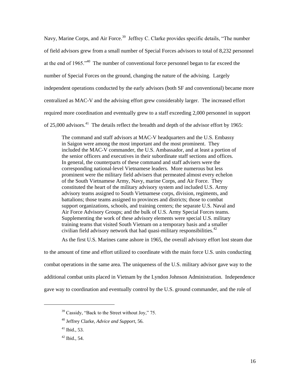Navy, Marine Corps, and Air Force.<sup>39</sup> Jeffrey C. Clarke provides specific details, "The number of field advisors grew from a small number of Special Forces advisors to total of 8,232 personnel at the end of 1965.<sup>-40</sup> The number of conventional force personnel began to far exceed the number of Special Forces on the ground, changing the nature of the advising. Largely independent operations conducted by the early advisors (both SF and conventional) became more centralized as MAC-V and the advising effort grew considerably larger. The increased effort required more coordination and eventually grew to a staff exceeding 2,000 personnel in support of 25,000 advisors.<sup>41</sup> The details reflect the breadth and depth of the advisor effort by 1965:

The command and staff advisors at MAC-V headquarters and the U.S. Embassy in Saigon were among the most important and the most prominent. They included the MAC-V commander, the U.S. Ambassador, and at least a portion of the senior officers and executives in their subordinate staff sections and offices. In general, the counterparts of these command and staff advisers were the corresponding national-level Vietnamese leaders. More numerous but less prominent were the military field advisers that permeated almost every echelon of the South Vietnamese Army, Navy, marine Corps, and Air Force. They constituted the heart of the military advisory system and included U.S. Army advisory teams assigned to South Vietnamese corps, division, regiments, and battalions; those teams assigned to provinces and districts; those to combat support organizations, schools, and training centers; the separate U.S. Naval and Air Force Advisory Groups; and the bulk of U.S. Army Special Forces teams. Supplementing the work of these advisory elements were special U.S. military training teams that visited South Vietnam on a temporary basis and a smaller civilian field advisory network that had quasi-military responsibilities.<sup>42</sup>

As the first U.S. Marines came ashore in 1965, the overall advisory effort lost steam due

to the amount of time and effort utilized to coordinate with the main force U.S. units conducting combat operations in the same area. The uniqueness of the U.S. military advisor gave way to the additional combat units placed in Vietnam by the Lyndon Johnson Administration. Independence gave way to coordination and eventually control by the U.S. ground commander, and the role of

<sup>&</sup>lt;sup>39</sup> Cassidy, "Back to the Street without Joy," 75.

<sup>40</sup> Jeffrey Clarke, *Advice and Support*, 56.

 $41$  Ibid., 53.

 $42$  Ibid., 54.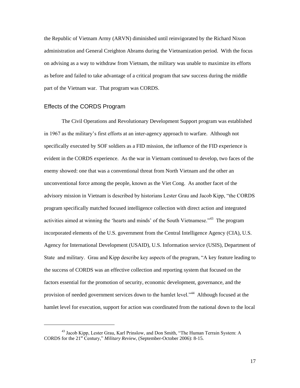the Republic of Vietnam Army (ARVN) diminished until reinvigorated by the Richard Nixon administration and General Creighton Abrams during the Vietnamization period. With the focus on advising as a way to withdraw from Vietnam, the military was unable to maximize its efforts as before and failed to take advantage of a critical program that saw success during the middle part of the Vietnam war. That program was CORDS.

#### Effects of the CORDS Program

 $\overline{a}$ 

The Civil Operations and Revolutionary Development Support program was established in 1967 as the military"s first efforts at an inter-agency approach to warfare. Although not specifically executed by SOF soldiers as a FID mission, the influence of the FID experience is evident in the CORDS experience. As the war in Vietnam continued to develop, two faces of the enemy showed: one that was a conventional threat from North Vietnam and the other an unconventional force among the people, known as the Viet Cong. As another facet of the advisory mission in Vietnam is described by historians Lester Grau and Jacob Kipp, "the CORDS program specifically matched focused intelligence collection with direct action and integrated activities aimed at winning the 'hearts and minds' of the South Vietnamese."<sup>43</sup> The program incorporated elements of the U.S. government from the Central Intelligence Agency (CIA), U.S. Agency for International Development (USAID), U.S. Information service (USIS), Department of State and military. Grau and Kipp describe key aspects of the program, "A key feature leading to the success of CORDS was an effective collection and reporting system that focused on the factors essential for the promotion of security, economic development, governance, and the provision of needed government services down to the hamlet level."<sup>44</sup> Although focused at the hamlet level for execution, support for action was coordinated from the national down to the local

<sup>43</sup> Jacob Kipp, Lester Grau, Karl Prinslow, and Don Smith, "The Human Terrain System: A CORDS for the 21st Century," *Military Review*, (September-October 2006): 8-15.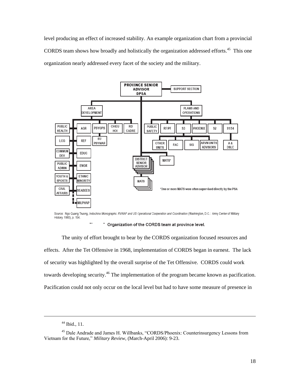level producing an effect of increased stability. An example organization chart from a provincial CORDS team shows how broadly and holistically the organization addressed efforts.<sup>45</sup> This one organization nearly addressed every facet of the society and the military.



Source: Ngo Quang Truong, Indochina Monographs: RVNAF and US Operational Cooperation and Coordination (Washington, D.C.: Army Center of Military History, 1980), p. 154.

Organization of the CORDS team at province level.

The unity of effort brought to bear by the CORDS organization focused resources and effects. After the Tet Offensive in 1968, implementation of CORDS began in earnest. The lack of security was highlighted by the overall surprise of the Tet Offensive. CORDS could work towards developing security.<sup>46</sup> The implementation of the program became known as pacification. Pacification could not only occur on the local level but had to have some measure of presence in

<sup>44</sup> Ibid., 11.

<sup>45</sup> Dale Andrade and James H. Willbanks, "CORDS/Phoenix: Counterinsurgency Lessons from Vietnam for the Future," *Military Review*, (March-April 2006): 9-23.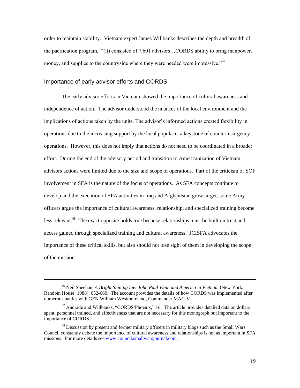order to maintain stability. Vietnam expert James Willbanks describes the depth and breadth of the pacification program, "(it) consisted of 7,601 advisors…CORDS ability to bring manpower, money, and supplies to the countryside where they were needed were impressive."<sup>47</sup>

## Importance of early advisor efforts and CORDS

 $\overline{a}$ 

The early advisor efforts in Vietnam showed the importance of cultural awareness and independence of action. The advisor understood the nuances of the local environment and the implications of actions taken by the units. The advisor's informed actions created flexibility in operations due to the increasing support by the local populace, a keystone of counterinsurgency operations. However, this does not imply that actions do not need to be coordinated in a broader effort. During the end of the advisory period and transition to Americanization of Vietnam, advisors actions were limited due to the size and scope of operations. Part of the criticism of SOF involvement in SFA is the nature of the focus of operations. As SFA concepts continue to develop and the execution of SFA activities in Iraq and Afghanistan grow larger, some Army officers argue the importance of cultural awareness, relationship, and specialized training become less relevant.<sup>48</sup> The exact opposite holds true because relationships must be built on trust and access gained through specialized training and cultural awareness. JCISFA advocates the importance of these critical skills, but also should not lose sight of them in developing the scope of the mission.

<sup>46</sup> Neil Sheehan. *A Bright Shining Lie: John Paul Vann and America in Vietnam.*(New York: Random House: 1988), 652-660. The account provides the details of how CORDS was implemented after numerous battles with GEN William Westmoreland, Commander MAC-V.

 $47$  Andrade and Willbanks, "CORDS/Phoenix," 16. The article provides detailed data on dollars spent, personnel trained, and effectiveness that are not necessary for this monograph but important to the importance of CORDS.

<sup>&</sup>lt;sup>48</sup> Discussion by present and former military officers in military blogs such as the Small Wars Council constantly debate the importance of cultural awareness and relationships is not as important in SFA missions. For more details see [www.council.smallwarsjournal.com.](http://www.council.smallwarsjournal.com/)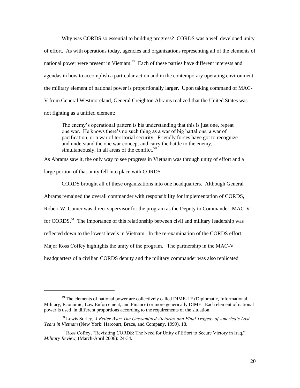Why was CORDS so essential to building progress? CORDS was a well developed unity of effort. As with operations today, agencies and organizations representing all of the elements of national power were present in Vietnam.<sup>49</sup> Each of these parties have different interests and agendas in how to accomplish a particular action and in the contemporary operating environment, the military element of national power is proportionally larger. Upon taking command of MAC-V from General Westmoreland, General Creighton Abrams realized that the United States was not fighting as a unified element:

The enemy"s operational pattern is his understanding that this is just one, repeat one war. He knows there"s no such thing as a war of big battalions, a war of pacification, or a war of territorial security. Friendly forces have got to recognize and understand the one war concept and carry the battle to the enemy, simultaneously, in all areas of the conflict.<sup>50</sup>

As Abrams saw it, the only way to see progress in Vietnam was through unity of effort and a large portion of that unity fell into place with CORDS.

CORDS brought all of these organizations into one headquarters. Although General Abrams remained the overall commander with responsibility for implementation of CORDS, Robert W. Comer was direct supervisor for the program as the Deputy to Commander, MAC-V for CORDS.<sup>51</sup> The importance of this relationship between civil and military leadership was reflected down to the lowest levels in Vietnam. In the re-examination of the CORDS effort, Major Ross Coffey highlights the unity of the program, "The partnership in the MAC-V headquarters of a civilian CORDS deputy and the military commander was also replicated

<sup>&</sup>lt;sup>49</sup> The elements of national power are collectively called DIME-LF (Diplomatic, Informational, Military, Economic, Law Enforcement, and Finance) or more generically DIME. Each element of national power is used in different proportions according to the requirements of the situation.

<sup>50</sup> Lewis Sorley, *A Better War: The Unexamined Victories and Final Tragedy of America's Last Years in Vietnam* (New York: Harcourt, Brace, and Company, 1999), 18.

<sup>51</sup> Ross Coffey, "Revisiting CORDS: The Need for Unity of Effort to Secure Victory in Iraq," *Military Review*, (March-April 2006): 24-34.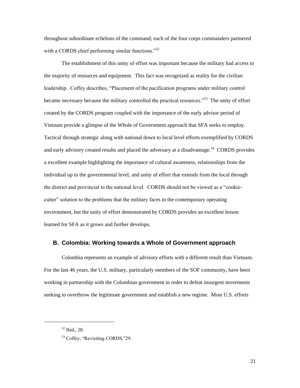throughout subordinate echelons of the command; each of the four corps commanders partnered with a CORDS chief performing similar functions."<sup>52</sup>

The establishment of this unity of effort was important because the military had access to the majority of resources and equipment. This fact was recognized as reality for the civilian leadership. Coffey describes, "Placement of the pacification programs under military control became necessary because the military controlled the practical resources."<sup>53</sup> The unity of effort created by the CORDS program coupled with the importance of the early advisor period of Vietnam provide a glimpse of the Whole of Government approach that SFA seeks to employ. Tactical through strategic along with national down to local level efforts exemplified by CORDS and early advisory created results and placed the adversary at a disadvantage.<sup>54</sup> CORDS provides a excellent example highlighting the importance of cultural awareness, relationships from the individual up to the governmental level, and unity of effort that extends from the local through the district and provincial to the national level. CORDS should not be viewed as a "cookiecutter" solution to the problems that the military faces in the contemporary operating environment, but the unity of effort demonstrated by CORDS provides an excellent lesson learned for SFA as it grows and further develops.

#### **B. Colombia: Working towards a Whole of Government approach**

Colombia represents an example of advisory efforts with a different result than Vietnam. For the last 46 years, the U.S. military, particularly members of the SOF community, have been working in partnership with the Colombian government in order to defeat insurgent movements seeking to overthrow the legitimate government and establish a new regime. Most U.S. efforts

<sup>52</sup> Ibid., 28.

<sup>53</sup> Coffey, "Revisiting CORDS,"29.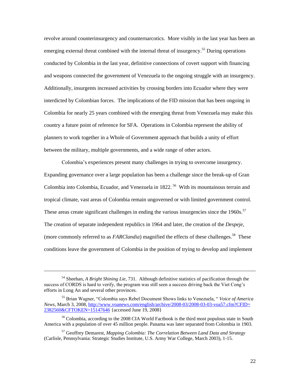revolve around counterinsurgency and counternarcotics. More visibly in the last year has been an emerging external threat combined with the internal threat of insurgency.<sup>55</sup> During operations conducted by Colombia in the last year, definitive connections of covert support with financing and weapons connected the government of Venezuela to the ongoing struggle with an insurgency. Additionally, insurgents increased activities by crossing borders into Ecuador where they were interdicted by Colombian forces. The implications of the FID mission that has been ongoing in Colombia for nearly 25 years combined with the emerging threat from Venezuela may make this country a future point of reference for SFA. Operations in Colombia represent the ability of planners to work together in a Whole of Government approach that builds a unity of effort between the military, multiple governments, and a wide range of other actors.

Colombia"s experiences present many challenges in trying to overcome insurgency. Expanding governance over a large population has been a challenge since the break-up of Gran Colombia into Colombia, Ecuador, and Venezuela in 1822.<sup>56</sup> With its mountainous terrain and tropical climate, vast areas of Colombia remain ungoverned or with limited government control. These areas create significant challenges in ending the various insurgencies since the  $1960s$ .<sup>57</sup> The creation of separate independent republics in 1964 and later, the creation of the *Despeje*, (more commonly referred to as  $FARClandia$ ) magnified the effects of these challenges.<sup>58</sup> These conditions leave the government of Colombia in the position of trying to develop and implement

<sup>54</sup> Sheehan, *A Bright Shining Lie*, 731. Although definitive statistics of pacification through the success of CORDS is hard to verify, the program was still seen a success driving back the Viet Cong"s efforts in Long An and several other provinces.

<sup>55</sup> Brian Wagner, "Colombia says Rebel Document Shows links to Venezuela, " *Voice of America News*, March 3, 2008, [http://www.voanews.com/english/archive/2008-03/2008-03-03-voa57.cfm?CFID=](http://www.voanews.com/english/archive/2008-03/2008-03-03-voa57.cfm?CFID=%202382560&CFTOKEN=15147646%20) [2382560&CFTOKEN=15147646](http://www.voanews.com/english/archive/2008-03/2008-03-03-voa57.cfm?CFID=%202382560&CFTOKEN=15147646%20) {accessed June 19, 2008}

<sup>&</sup>lt;sup>56</sup> Colombia, according to the 2008 CIA World Factbook is the third most populous state in South America with a population of over 45 million people. Panama was later separated from Colombia in 1903.

<sup>57</sup> Geoffrey Demarest, *Mapping Colombia: The Correlation Between Land Data and Strategy* (Carlisle, Pennsylvania: Strategic Studies Institute, U.S. Army War College, March 2003), 1-15.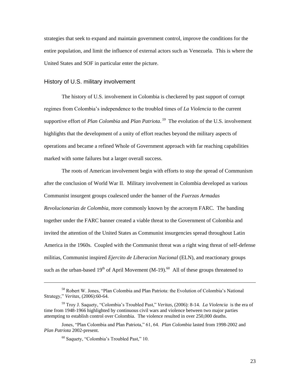strategies that seek to expand and maintain government control, improve the conditions for the entire population, and limit the influence of external actors such as Venezuela. This is where the United States and SOF in particular enter the picture.

#### History of U.S. military involvement

The history of U.S. involvement in Colombia is checkered by past support of corrupt regimes from Colombia"s independence to the troubled times of *La Violencia* to the current supportive effort of *Plan Colombia* and *Plan Patriota*. *59* The evolution of the U.S. involvement highlights that the development of a unity of effort reaches beyond the military aspects of operations and became a refined Whole of Government approach with far reaching capabilities marked with some failures but a larger overall success.

The roots of American involvement begin with efforts to stop the spread of Communism after the conclusion of World War II. Military involvement in Colombia developed as various Communist insurgent groups coalesced under the banner of the *Fuerzas Armadas Revolucionarias de Colombia*, more commonly known by the acronym FARC. The banding together under the FARC banner created a viable threat to the Government of Colombia and invited the attention of the United States as Communist insurgencies spread throughout Latin America in the 1960s. Coupled with the Communist threat was a right wing threat of self-defense militias, Communist inspired *Ejercito de Liberacion Nacional* (ELN), and reactionary groups such as the urban-based  $19<sup>th</sup>$  of April Movement (M-19).<sup>60</sup> All of these groups threatened to

<sup>58</sup> Robert W. Jones, "Plan Colombia and Plan Patriota: the Evolution of Colombia"s National Strategy," *Veritas*, (2006):60-64.

<sup>59</sup> Troy J. Saquety, "Colombia"s Troubled Past," *Veritas*, (2006): 8-14. *La Violencia* is the era of time from 1948-1966 highlighted by continuous civil wars and violence between two major parties attempting to establish control over Colombia. The violence resulted in over 250,000 deaths.

Jones, "Plan Colombia and Plan Patriota," 61, 64. *Plan Colombia* lasted from 1998-2002 and *Plan Patriota* 2002-present.

<sup>60</sup> Saquety, "Colombia"s Troubled Past," 10.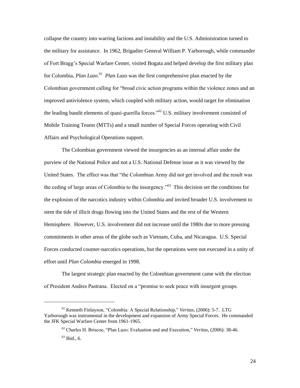collapse the country into warring factions and instability and the U.S. Administration turned to the military for assistance. In 1962, Brigadier General William P. Yarborough, while commander of Fort Bragg"s Special Warfare Center, visited Bogata and helped develop the first military plan for Colombia, *Plan Lazo*. 61 *Plan Lazo* was the first comprehensive plan enacted by the Colombian government calling for "broad civic action programs within the violence zones and an improved antiviolence system, which coupled with military action, would target for elimination the leading bandit elements of quasi-guerilla forces."<sup>62</sup> U.S. military involvement consisted of Mobile Training Teams (MTTs) and a small number of Special Forces operating with Civil Affairs and Psychological Operations support.

The Colombian government viewed the insurgencies as an internal affair under the purview of the National Police and not a U.S. National Defense issue as it was viewed by the United States. The effect was that "the Colombian Army did not get involved and the result was the ceding of large areas of Colombia to the insurgency."<sup>63</sup> This decision set the conditions for the explosion of the narcotics industry within Colombia and invited broader U.S. involvement to stem the tide of illicit drugs flowing into the United States and the rest of the Western Hemisphere. However, U.S. involvement did not increase until the 1980s due to more pressing commitments in other areas of the globe such as Vietnam, Cuba, and Nicaragua. U.S. Special Forces conducted counter-narcotics operations, but the operations were not executed in a unity of effort until *Plan Colombia* emerged in 1998.

The largest strategic plan enacted by the Colombian government came with the election of President Andres Pastrana. Elected on a "promise to seek peace with insurgent groups.

<sup>61</sup> Kenneth Finlayson, "Colombia: A Special Relationship," *Veritas*, (2006): 5-7. LTG Yarborough was instrumental in the development and expansion of Army Special Forces. He commanded the JFK Special Warfare Center from 1961-1965.

<sup>62</sup> Charles H. Briscoe, "Plan Lazo: Evaluation and and Execution," *Veritas*, (2006): 38-46.

 $63$  Ibid., 6.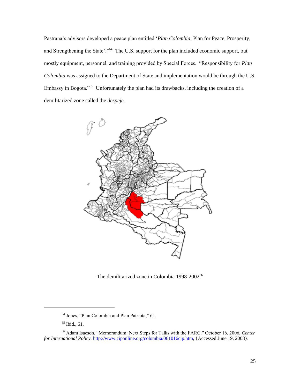Pastrana"s advisors developed a peace plan entitled "*Plan Colombia*: Plan for Peace, Prosperity, and Strengthening the State'."<sup>64</sup> The U.S. support for the plan included economic support, but mostly equipment, personnel, and training provided by Special Forces. "Responsibility for *Plan Colombia* was assigned to the Department of State and implementation would be through the U.S. Embassy in Bogota."<sup>65</sup> Unfortunately the plan had its drawbacks, including the creation of a demilitarized zone called the *despeje*.



The demilitarized zone in Colombia 1998-2002<sup>66</sup>

<sup>64</sup> Jones, "Plan Colombia and Plan Patriota," 61.

 $65$  Ibid., 61.

<sup>66</sup> Adam Isacson. "Memorandum: Next Steps for Talks with the FARC." October 16, 2006, *Center for International Policy.* [http://www.ciponline.org/colombia/061016cip.htm,](http://www.ciponline.org/colombia/061016cip.htm) {Accessed June 19, 2008}.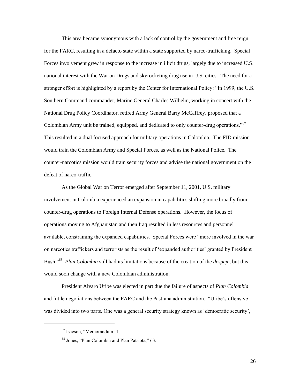This area became synonymous with a lack of control by the government and free reign for the FARC, resulting in a defacto state within a state supported by narco-trafficking. Special Forces involvement grew in response to the increase in illicit drugs, largely due to increased U.S. national interest with the War on Drugs and skyrocketing drug use in U.S. cities. The need for a stronger effort is highlighted by a report by the Center for International Policy: "In 1999, the U.S. Southern Command commander, Marine General Charles Wilhelm, working in concert with the National Drug Policy Coordinator, retired Army General Barry McCaffrey, proposed that a Colombian Army unit be trained, equipped, and dedicated to only counter-drug operations."<sup>67</sup> This resulted in a dual focused approach for military operations in Colombia. The FID mission would train the Colombian Army and Special Forces, as well as the National Police. The counter-narcotics mission would train security forces and advise the national government on the defeat of narco-traffic.

As the Global War on Terror emerged after September 11, 2001, U.S. military involvement in Colombia experienced an expansion in capabilities shifting more broadly from counter-drug operations to Foreign Internal Defense operations. However, the focus of operations moving to Afghanistan and then Iraq resulted in less resources and personnel available, constraining the expanded capabilities. Special Forces were "more involved in the war on narcotics traffickers and terrorists as the result of "expanded authorities" granted by President Bush."<sup>68</sup> *Plan Colombia* still had its limitations because of the creation of the *despeje*, but this would soon change with a new Colombian administration.

President Alvaro Uribe was elected in part due the failure of aspects of *Plan Colombia* and futile negotiations between the FARC and the Pastrana administration. "Uribe"s offensive was divided into two parts. One was a general security strategy known as 'democratic security',

<sup>67</sup> Isacson, "Memorandum,"1.

<sup>68</sup> Jones, "Plan Colombia and Plan Patriota," 63.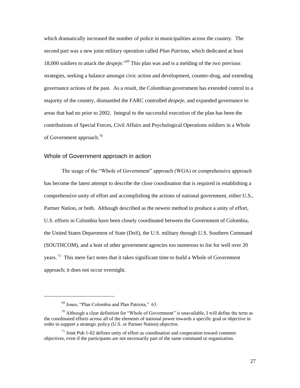which dramatically increased the number of police in municipalities across the country. The second part was a new joint military operation called *Plan Patriota*, which dedicated at least 18,000 soldiers to attack the *despeje*."<sup>69</sup> This plan was and is a melding of the two previous strategies, seeking a balance amongst civic action and development, counter-drug, and extending governance actions of the past. As a result, the Colombian government has extended control to a majority of the country, dismantled the FARC controlled *despeje*, and expanded governance to areas that had no prior to 2002. Integral to the successful execution of the plan has been the contributions of Special Forces, Civil Affairs and Psychological Operations soldiers in a Whole of Government approach. $^{70}$ 

### Whole of Government approach in action

The usage of the "Whole of Government" approach (WGA) or comprehensive approach has become the latest attempt to describe the close coordination that is required in establishing a comprehensive unity of effort and accomplishing the actions of national government, either U.S., Partner Nation, or both. Although described as the newest method to produce a unity of effort, U.S. efforts in Colombia have been closely coordinated between the Government of Colombia, the United States Department of State (DoS), the U.S. military through U.S. Southern Command (SOUTHCOM), and a host of other government agencies too numerous to list for well over 20 years.<sup>71</sup> This mere fact notes that it takes significant time to build a Whole of Government approach; it does not occur overnight.

<sup>69</sup> Jones, "Plan Colombia and Plan Patriota," 63.

 $70$  Although a clear definition for "Whole of Government" is unavailable, I will define the term as the coordinated efforts across all of the elements of national power towards a specific goal or objective in order to support a strategic policy (U.S. or Partner Nation) objective.

 $71$  Joint Pub 1-02 defines unity of effort as coordination and cooperation toward common objectives, even if the participants are not necessarily part of the same command or organization.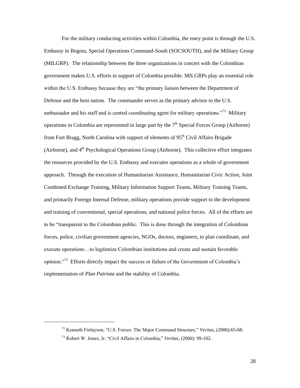For the military conducting activities within Colombia, the entry point is through the U.S. Embassy in Bogota, Special Operations Command-South (SOCSOUTH), and the Military Group (MILGRP). The relationship between the three organizations in concert with the Colombian government makes U.S. efforts in support of Colombia possible. MILGRPs play an essential role within the U.S. Embassy because they are "the primary liaison between the Department of Defense and the host nation. The commander serves as the primary advisor to the U.S. ambassador and his staff and is central coordinating agent for military operations."<sup>72</sup> Military operations in Colombia are represented in large part by the  $7<sup>th</sup>$  Special Forces Group (Airborne) from Fort Bragg, North Carolina with support of elements of  $95<sup>th</sup>$  Civil Affairs Brigade (Airborne), and  $4<sup>th</sup>$  Psychological Operations Group (Airborne). This collective effort integrates the resources provided by the U.S. Embassy and executes operations as a whole of government approach. Through the execution of Humanitarian Assistance, Humanitarian Civic Action, Joint Combined Exchange Training, Military Information Support Teams, Military Training Teams, and primarily Foreign Internal Defense, military operations provide support to the development and training of conventional, special operations, and national police forces. All of the efforts are to be "transparent to the Colombian public. This is done through the integration of Colombian forces, police, civilian government agencies, NGOs, doctors, engineers, to plan coordinate, and execute operations…to legitimize Colombian institutions and create and sustain favorable opinion."<sup>73</sup> Efforts directly impact the success or failure of the Government of Colombia's implementation of *Plan Patriota* and the stability of Colombia.

<sup>72</sup> Kenneth Finlayson, "U.S. Forces: The Major Command Structure," *Veritas*, (2006):65-68.

<sup>73</sup> Robert W. Jones, Jr. "Civil Affairs in Colombia," *Veritas*, (2006): 99-102.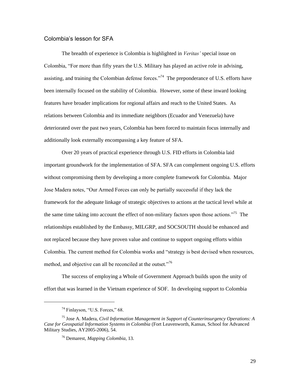## Colombia's lesson for SFA

The breadth of experience is Colombia is highlighted in *Veritas'* special issue on Colombia, "For more than fifty years the U.S. Military has played an active role in advising, assisting, and training the Colombian defense forces.<sup> $274$ </sup> The preponderance of U.S. efforts have been internally focused on the stability of Colombia. However, some of these inward looking features have broader implications for regional affairs and reach to the United States. As relations between Colombia and its immediate neighbors (Ecuador and Venezuela) have deteriorated over the past two years, Colombia has been forced to maintain focus internally and additionally look externally encompassing a key feature of SFA.

Over 20 years of practical experience through U.S. FID efforts in Colombia laid important groundwork for the implementation of SFA. SFA can complement ongoing U.S. efforts without compromising them by developing a more complete framework for Colombia. Major Jose Madera notes, "Our Armed Forces can only be partially successful if they lack the framework for the adequate linkage of strategic objectives to actions at the tactical level while at the same time taking into account the effect of non-military factors upon those actions."<sup>75</sup> The relationships established by the Embassy, MILGRP, and SOCSOUTH should be enhanced and not replaced because they have proven value and continue to support ongoing efforts within Colombia. The current method for Colombia works and "strategy is best devised when resources, method, and objective can all be reconciled at the outset."<sup>76</sup>

The success of employing a Whole of Government Approach builds upon the unity of effort that was learned in the Vietnam experience of SOF. In developing support to Colombia

<sup>74</sup> Finlayson, "U.S. Forces," 68.

<sup>75</sup> Jose A. Madera, *Civil Information Management in Support of Counterinsurgency Operations: A Case for Geospatial Information Systems in Colombia* (Fort Leavenworth, Kansas, School for Advanced Military Studies, AY2005-2006), 54.

<sup>76</sup> Demarest, *Mapping Colombia*, 13.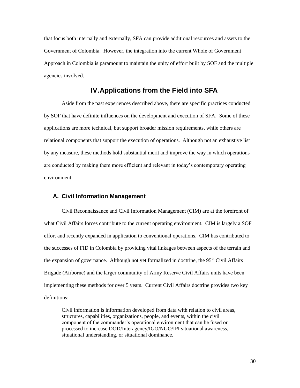that focus both internally and externally, SFA can provide additional resources and assets to the Government of Colombia. However, the integration into the current Whole of Government Approach in Colombia is paramount to maintain the unity of effort built by SOF and the multiple agencies involved.

## **IV. Applications from the Field into SFA**

Aside from the past experiences described above, there are specific practices conducted by SOF that have definite influences on the development and execution of SFA. Some of these applications are more technical, but support broader mission requirements, while others are relational components that support the execution of operations. Although not an exhaustive list by any measure, these methods hold substantial merit and improve the way in which operations are conducted by making them more efficient and relevant in today"s contemporary operating environment.

## **A. Civil Information Management**

Civil Reconnaissance and Civil Information Management (CIM) are at the forefront of what Civil Affairs forces contribute to the current operating environment. CIM is largely a SOF effort and recently expanded in application to conventional operations. CIM has contributed to the successes of FID in Colombia by providing vital linkages between aspects of the terrain and the expansion of governance. Although not yet formalized in doctrine, the  $95<sup>th</sup>$  Civil Affairs Brigade (Airborne) and the larger community of Army Reserve Civil Affairs units have been implementing these methods for over 5 years. Current Civil Affairs doctrine provides two key definitions:

Civil information is information developed from data with relation to civil areas, structures, capabilities, organizations, people, and events, within the civil component of the commander"s operational environment that can be fused or processed to increase DOD/Interagency/IGO/NGO/IPI situational awareness, situational understanding, or situational dominance.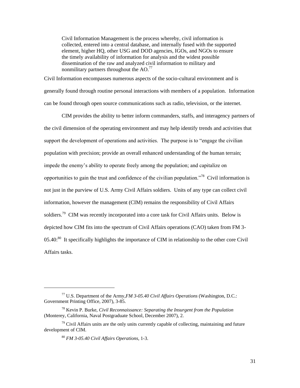Civil Information Management is the process whereby, civil information is collected, entered into a central database, and internally fused with the supported element, higher HQ, other USG and DOD agencies, IGOs, and NGOs to ensure the timely availability of information for analysis and the widest possible dissemination of the raw and analyzed civil information to military and nonmilitary partners throughout the  $AO.<sup>77</sup>$ 

Civil Information encompasses numerous aspects of the socio-cultural environment and is generally found through routine personal interactions with members of a population. Information can be found through open source communications such as radio, television, or the internet.

CIM provides the ability to better inform commanders, staffs, and interagency partners of the civil dimension of the operating environment and may help identify trends and activities that support the development of operations and activities. The purpose is to "engage the civilian population with precision; provide an overall enhanced understanding of the human terrain; impede the enemy"s ability to operate freely among the population; and capitalize on opportunities to gain the trust and confidence of the civilian population."<sup>78</sup> Civil information is not just in the purview of U.S. Army Civil Affairs soldiers. Units of any type can collect civil information, however the management (CIM) remains the responsibility of Civil Affairs soldiers.<sup>79</sup> CIM was recently incorporated into a core task for Civil Affairs units. Below is depicted how CIM fits into the spectrum of Civil Affairs operations (CAO) taken from FM 3-  $05.40$ <sup>80</sup> It specifically highlights the importance of CIM in relationship to the other core Civil Affairs tasks.

<sup>77</sup> U.S. Department of the Army,*FM 3-05.40 Civil Affairs Operations* (Washington, D.C.: Government Printing Office, 2007), 3-85.

<sup>78</sup> Kevin P. Burke, *Civil Reconnaissance: Separating the Insurgent from the Population* (Monterey, California, Naval Postgraduate School, December 2007), 2.

 $79$  Civil Affairs units are the only units currently capable of collecting, maintaining and future development of CIM.

<sup>80</sup> *FM 3-05.40 Civil Affairs Operations*, 1-3.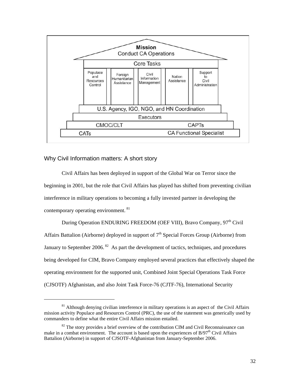

## Why Civil Information matters: A short story

 $\overline{a}$ 

Civil Affairs has been deployed in support of the Global War on Terror since the beginning in 2001, but the role that Civil Affairs has played has shifted from preventing civilian interference in military operations to becoming a fully invested partner in developing the contemporary operating environment. <sup>81</sup>

During Operation ENDURING FREEDOM (OEF VIII), Bravo Company, 97<sup>th</sup> Civil Affairs Battalion (Airborne) deployed in support of  $7<sup>th</sup>$  Special Forces Group (Airborne) from January to September 2006.<sup>82</sup> As part the development of tactics, techniques, and procedures being developed for CIM, Bravo Company employed several practices that effectively shaped the operating environment for the supported unit, Combined Joint Special Operations Task Force (CJSOTF) Afghanistan, and also Joint Task Force-76 (CJTF-76), International Security

 $81$  Although denying civilian interference in military operations is an aspect of the Civil Affairs mission activity Populace and Resources Control (PRC), the use of the statement was generically used by commanders to define what the entire Civil Affairs mission entailed.

 $82$  The story provides a brief overview of the contribution CIM and Civil Reconnaissance can make in a combat environment. The account is based upon the experiences of  $B/97<sup>th</sup>$  Civil Affairs Battalion (Airborne) in support of CJSOTF-Afghanistan from January-September 2006.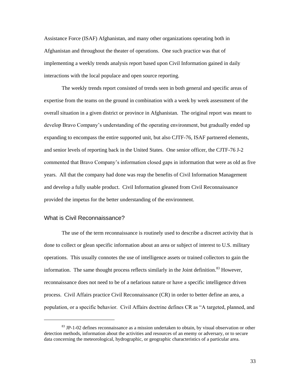Assistance Force (ISAF) Afghanistan, and many other organizations operating both in Afghanistan and throughout the theater of operations. One such practice was that of implementing a weekly trends analysis report based upon Civil Information gained in daily interactions with the local populace and open source reporting.

The weekly trends report consisted of trends seen in both general and specific areas of expertise from the teams on the ground in combination with a week by week assessment of the overall situation in a given district or province in Afghanistan. The original report was meant to develop Bravo Company"s understanding of the operating environment, but gradually ended up expanding to encompass the entire supported unit, but also CJTF-76, ISAF partnered elements, and senior levels of reporting back in the United States. One senior officer, the CJTF-76 J-2 commented that Bravo Company"s information closed gaps in information that were as old as five years. All that the company had done was reap the benefits of Civil Information Management and develop a fully usable product. Civil Information gleaned from Civil Reconnaissance provided the impetus for the better understanding of the environment.

## What is Civil Reconnaissance?

 $\overline{\phantom{a}}$ 

The use of the term reconnaissance is routinely used to describe a discreet activity that is done to collect or glean specific information about an area or subject of interest to U.S. military operations. This usually connotes the use of intelligence assets or trained collectors to gain the information. The same thought process reflects similarly in the Joint definition. $83$  However, reconnaissance does not need to be of a nefarious nature or have a specific intelligence driven process. Civil Affairs practice Civil Reconnaissance (CR) in order to better define an area, a population, or a specific behavior. Civil Affairs doctrine defines CR as "A targeted, planned, and

 $83$  JP-1-02 defines reconnaissance as a mission undertaken to obtain, by visual observation or other detection methods, information about the activities and resources of an enemy or adversary, or to secure data concerning the meteorological, hydrographic, or geographic characteristics of a particular area.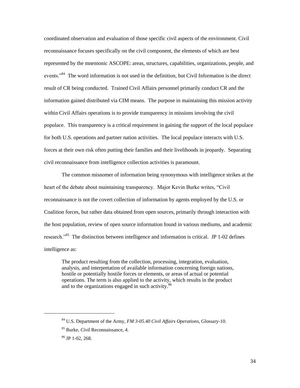coordinated observation and evaluation of those specific civil aspects of the environment. Civil reconnaissance focuses specifically on the civil component, the elements of which are best represented by the mnemonic ASCOPE: areas, structures, capabilities, organizations, people, and events."<sup>84</sup> The word information is not used in the definition, but Civil Information is the direct result of CR being conducted. Trained Civil Affairs personnel primarily conduct CR and the information gained distributed via CIM means. The purpose in maintaining this mission activity within Civil Affairs operations is to provide transparency in missions involving the civil populace. This transparency is a critical requirement in gaining the support of the local populace for both U.S. operations and partner nation activities. The local populace interacts with U.S. forces at their own risk often putting their families and their livelihoods in jeopardy. Separating civil reconnaissance from intelligence collection activities is paramount.

The common misnomer of information being synonymous with intelligence strikes at the heart of the debate about maintaining transparency. Major Kevin Burke writes, "Civil reconnaissance is not the covert collection of information by agents employed by the U.S. or Coalition forces, but rather data obtained from open sources, primarily through interaction with the host population, review of open source information found in various mediums, and academic research."<sup>85</sup> The distinction between intelligence and information is critical. JP 1-02 defines intelligence as:

The product resulting from the collection, processing, integration, evaluation, analysis, and interpretation of available information concerning foreign nations, hostile or potentially hostile forces or elements, or areas of actual or potential operations. The term is also applied to the activity, which results in the product and to the organizations engaged in such activity.<sup>86</sup>

 $\overline{\phantom{a}}$ 

<sup>84</sup> U.S. Department of the Army, *FM 3-05.40 Civil Affairs Operations*, Glossary-10.

<sup>85</sup> Burke, *Civil* Reconnaissance, 4.

<sup>86</sup> JP 1-02, 268.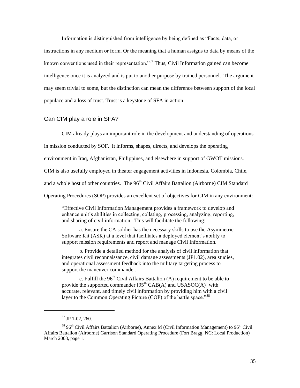Information is distinguished from intelligence by being defined as "Facts, data, or instructions in any medium or form. Or the meaning that a human assigns to data by means of the known conventions used in their representation."<sup>87</sup> Thus, Civil Information gained can become intelligence once it is analyzed and is put to another purpose by trained personnel. The argument may seem trivial to some, but the distinction can mean the difference between support of the local populace and a loss of trust. Trust is a keystone of SFA in action.

#### Can CIM play a role in SFA?

CIM already plays an important role in the development and understanding of operations

in mission conducted by SOF. It informs, shapes, directs, and develops the operating

environment in Iraq, Afghanistan, Philippines, and elsewhere in support of GWOT missions.

CIM is also usefully employed in theater engagement activities in Indonesia, Colombia, Chile,

and a whole host of other countries. The 96<sup>th</sup> Civil Affairs Battalion (Airborne) CIM Standard

Operating Procedures (SOP) provides an excellent set of objectives for CIM in any environment:

"Effective Civil Information Management provides a framework to develop and enhance unit's abilities in collecting, collating, processing, analyzing, reporting, and sharing of civil information. This will facilitate the following:

 a. Ensure the CA soldier has the necessary skills to use the Asymmetric Software Kit (ASK) at a level that facilitates a deployed element's ability to support mission requirements and report and manage Civil Information.

 b. Provide a detailed method for the analysis of civil information that integrates civil reconnaissance, civil damage assessments (JP1.02), area studies, and operational assessment feedback into the military targeting process to support the maneuver commander.

c. Fulfill the  $96<sup>th</sup>$  Civil Affairs Battalion (A) requirement to be able to provide the supported commander  $[95<sup>th</sup> CAB(A)$  and USASOC(A)] with accurate, relevant, and timely civil information by providing him with a civil layer to the Common Operating Picture (COP) of the battle space."<sup>88</sup>

 $87$  JP 1-02, 260.

 $88\,96<sup>th</sup>$  Civil Affairs Battalion (Airborne), Annex M (Civil Information Management) to  $96<sup>th</sup>$  Civil Affairs Battalion (Airborne) Garrison Standard Operating Procedure (Fort Bragg, NC: Local Production) March 2008, page 1.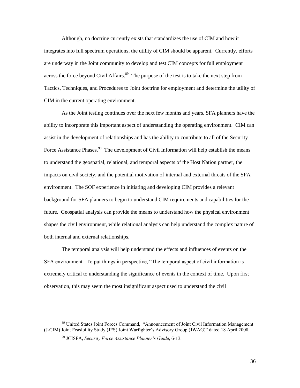Although, no doctrine currently exists that standardizes the use of CIM and how it integrates into full spectrum operations, the utility of CIM should be apparent. Currently, efforts are underway in the Joint community to develop and test CIM concepts for full employment across the force beyond Civil Affairs.<sup>89</sup> The purpose of the test is to take the next step from Tactics, Techniques, and Procedures to Joint doctrine for employment and determine the utility of CIM in the current operating environment.

As the Joint testing continues over the next few months and years, SFA planners have the ability to incorporate this important aspect of understanding the operating environment. CIM can assist in the development of relationships and has the ability to contribute to all of the Security Force Assistance Phases.<sup>90</sup> The development of Civil Information will help establish the means to understand the geospatial, relational, and temporal aspects of the Host Nation partner, the impacts on civil society, and the potential motivation of internal and external threats of the SFA environment. The SOF experience in initiating and developing CIM provides a relevant background for SFA planners to begin to understand CIM requirements and capabilities for the future. Geospatial analysis can provide the means to understand how the physical environment shapes the civil environment, while relational analysis can help understand the complex nature of both internal and external relationships.

The temporal analysis will help understand the effects and influences of events on the SFA environment. To put things in perspective, "The temporal aspect of civil information is extremely critical to understanding the significance of events in the context of time. Upon first observation, this may seem the most insignificant aspect used to understand the civil

 $\overline{\phantom{a}}$ 

<sup>89</sup> United States Joint Forces Command, "Announcement of Joint Civil Information Management (J-CIM) Joint Feasibility Study (JFS) Joint Warfighter"s Advisory Group (JWAG)" dated 18 April 2008.

<sup>90</sup> JCISFA, *Security Force Assistance Planner's Guide*, 6-13.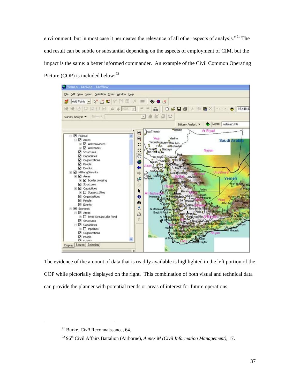environment, but in most case it permeates the relevance of all other aspects of analysis."<sup>91</sup> The end result can be subtle or substantial depending on the aspects of employment of CIM, but the impact is the same: a better informed commander. An example of the Civil Common Operating Picture (COP) is included below:  $92$ 



The evidence of the amount of data that is readily available is highlighted in the left portion of the COP while pictorially displayed on the right. This combination of both visual and technical data can provide the planner with potential trends or areas of interest for future operations.

 $\overline{\phantom{a}}$ 

<sup>91</sup> Burke, *Civil* Reconnaissance, 64.

<sup>&</sup>lt;sup>92</sup> 96<sup>th</sup> Civil Affairs Battalion (Airborne), *Annex M (Civil Information Management)*, 17.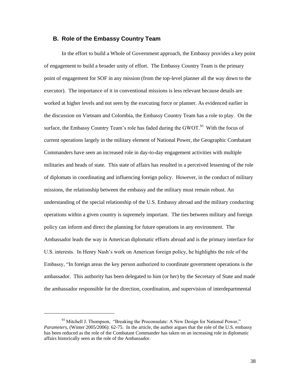## **B. Role of the Embassy Country Team**

In the effort to build a Whole of Government approach, the Embassy provides a key point of engagement to build a broader unity of effort. The Embassy Country Team is the primary point of engagement for SOF in any mission (from the top-level planner all the way down to the executor). The importance of it in conventional missions is less relevant because details are worked at higher levels and not seen by the executing force or planner. As evidenced earlier in the discussion on Vietnam and Colombia, the Embassy Country Team has a role to play. On the surface, the Embassy Country Team's role has faded during the GWOT. $93$  With the focus of current operations largely in the military element of National Power, the Geographic Combatant Commanders have seen an increased role in day-to-day engagement activities with multiple militaries and heads of state. This state of affairs has resulted in a perceived lessening of the role of diplomats in coordinating and influencing foreign policy. However, in the conduct of military missions, the relationship between the embassy and the military must remain robust. An understanding of the special relationship of the U.S. Embassy abroad and the military conducting operations within a given country is supremely important. The ties between military and foreign policy can inform and direct the planning for future operations in any environment. The Ambassador leads the way in American diplomatic efforts abroad and is the primary interface for U.S. interests. In Henry Nash"s work on American foreign policy, he highlights the role of the Embassy, "In foreign areas the key person authorized to coordinate government operations is the ambassador. This authority has been delegated to him (or her) by the Secretary of State and made the ambassador responsible for the direction, coordination, and supervision of interdepartmental

 $93$  Mitchell J. Thompson, "Breaking the Proconsulate: A New Design for National Power," *Parameters*, (Winter 2005/2006): 62-75. In the article, the author argues that the role of the U.S. embassy has been reduced as the role of the Combatant Commander has taken on an increasing role in diplomatic affairs historically seen as the role of the Ambassador.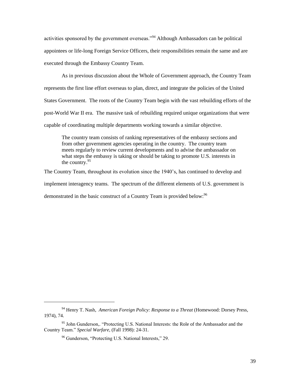activities sponsored by the government overseas."<sup>94</sup> Although Ambassadors can be political appointees or life-long Foreign Service Officers, their responsibilities remain the same and are executed through the Embassy Country Team.

As in previous discussion about the Whole of Government approach, the Country Team represents the first line effort overseas to plan, direct, and integrate the policies of the United States Government. The roots of the Country Team begin with the vast rebuilding efforts of the post-World War II era. The massive task of rebuilding required unique organizations that were capable of coordinating multiple departments working towards a similar objective.

The country team consists of ranking representatives of the embassy sections and from other government agencies operating in the country. The country team meets regularly to review current developments and to advise the ambassador on what steps the embassy is taking or should be taking to promote U.S. interests in the country. $95$ 

The Country Team, throughout its evolution since the 1940"s, has continued to develop and implement interagency teams. The spectrum of the different elements of U.S. government is demonstrated in the basic construct of a Country Team is provided below:<sup>96</sup>

 $\overline{\phantom{a}}$ 

<sup>94</sup> Henry T. Nash, *American Foreign Policy: Response to a Threat* (Homewood: Dorsey Press, 1974), 74.

<sup>&</sup>lt;sup>95</sup> John Gunderson,. "Protecting U.S. National Interests: the Role of the Ambassador and the Country Team." *Special Warfare*, (Fall 1998): 24-31.

<sup>96</sup> Gunderson, "Protecting U.S. National Interests," 29.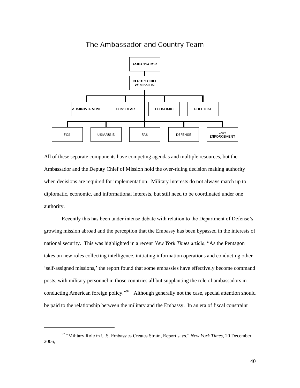

The Ambassador and Country Team

All of these separate components have competing agendas and multiple resources, but the Ambassador and the Deputy Chief of Mission hold the over-riding decision making authority when decisions are required for implementation. Military interests do not always match up to diplomatic, economic, and informational interests, but still need to be coordinated under one authority.

Recently this has been under intense debate with relation to the Department of Defense"s growing mission abroad and the perception that the Embassy has been bypassed in the interests of national security. This was highlighted in a recent *New York Times* article, "As the Pentagon takes on new roles collecting intelligence, initiating information operations and conducting other "self-assigned missions," the report found that some embassies have effectively become command posts, with military personnel in those countries all but supplanting the role of ambassadors in conducting American foreign policy."<sup>97</sup> Although generally not the case, special attention should be paid to the relationship between the military and the Embassy. In an era of fiscal constraint

 $\overline{\phantom{a}}$ 

<sup>97</sup> "Military Role in U.S. Embassies Creates Strain, Report says." *New York Times*, 20 December 2006,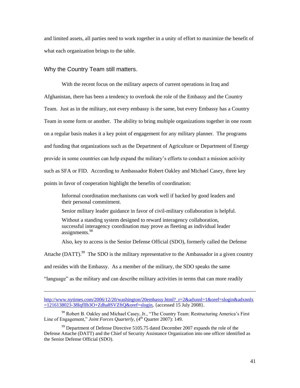and limited assets, all parties need to work together in a unity of effort to maximize the benefit of what each organization brings to the table.

#### Why the Country Team still matters.

 $\overline{\phantom{a}}$ 

With the recent focus on the military aspects of current operations in Iraq and Afghanistan, there has been a tendency to overlook the role of the Embassy and the Country Team. Just as in the military, not every embassy is the same, but every Embassy has a Country Team in some form or another. The ability to bring multiple organizations together in one room on a regular basis makes it a key point of engagement for any military planner. The programs and funding that organizations such as the Department of Agriculture or Department of Energy provide in some countries can help expand the military"s efforts to conduct a mission activity such as SFA or FID. According to Ambassador Robert Oakley and Michael Casey, three key points in favor of cooperation highlight the benefits of coordination:

Informal coordination mechanisms can work well if backed by good leaders and their personal commitment.

Senior military leader guidance in favor of civil-military collaboration is helpful.

Without a standing system designed to reward interagency collaboration, successful interagency coordination may prove as fleeting as individual leader assignments.<sup>98</sup>

Also, key to access is the Senior Defense Official (SDO), formerly called the Defense

Attache (DATT).<sup>99</sup> The SDO is the military representative to the Ambassador in a given country

and resides with the Embassy. As a member of the military, the SDO speaks the same

"language" as the military and can describe military activities in terms that can more readily

[http://www.nytimes.com/2006/12/20/washington/20embassy.html?\\_r=2&adxnnl=1&oref=slogin&adxnnlx](http://www.nytimes.com/2006/12/20/washington/20embassy.html?_r=2&adxnnl=1&oref=slogin&adxnnlx=1216138023-38IqflIb3O+Zdha8SVZftQ&oref=slogin)  $=1216138023-38Iqfllb3O+Zdha8SVZftQ&\text{oref}=slogin, \{accessed 15 July 2008\}.$ 

<sup>&</sup>lt;sup>98</sup> Robert B. Oakley and Michael Casey, Jr., "The Country Team: Restructuring America's First Line of Engagement," *Joint Forces Quarterly*, (4<sup>th</sup> Quarter 2007): 149.

 $99$  Department of Defense Directive 5105.75 dated December 2007 expands the role of the Defense Attache (DATT) and the Chief of Security Assistance Organization into one officer identified as the Senior Defense Official (SDO).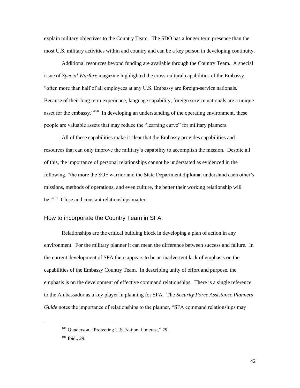explain military objectives to the Country Team. The SDO has a longer term presence than the most U.S. military activities within and country and can be a key person in developing continuity.

Additional resources beyond funding are available through the Country Team. A special issue of *Special Warfare* magazine highlighted the cross-cultural capabilities of the Embassy, "often more than half of all employees at any U.S. Embassy are foreign-service nationals. Because of their long term experience, language capability, foreign service nationals are a unique asset for the embassy."<sup>100</sup> In developing an understanding of the operating environment, these people are valuable assets that may reduce the "learning curve" for military planners.

All of these capabilities make it clear that the Embassy provides capabilities and resources that can only improve the military"s capability to accomplish the mission. Despite all of this, the importance of personal relationships cannot be understated as evidenced in the following, "the more the SOF warrior and the State Department diplomat understand each other"s missions, methods of operations, and even culture, the better their working relationship will be." $101$  Close and constant relationships matter.

## How to incorporate the Country Team in SFA.

Relationships are the critical building block in developing a plan of action in any environment. For the military planner it can mean the difference between success and failure. In the current development of SFA there appears to be an inadvertent lack of emphasis on the capabilities of the Embassy Country Team. In describing unity of effort and purpose, the emphasis is on the development of effective command relationships. There is a single reference to the Ambassador as a key player in planning for SFA. The *Security Force Assistance Planners Guide* notes the importance of relationships to the planner, "SFA command relationships may

 $\overline{\phantom{a}}$ 

42

<sup>&</sup>lt;sup>100</sup> Gunderson, "Protecting U.S. National Interest," 29.

<sup>101</sup> Ibid., 29.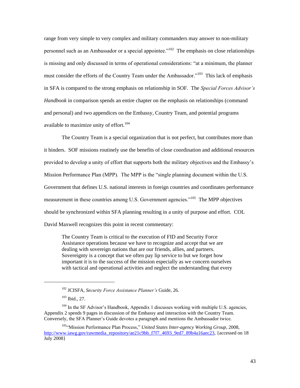range from very simple to very complex and military commanders may answer to non-military personnel such as an Ambassador or a special appointee."<sup>102</sup> The emphasis on close relationships is missing and only discussed in terms of operational considerations: "at a minimum, the planner must consider the efforts of the Country Team under the Ambassador."<sup>103</sup> This lack of emphasis in SFA is compared to the strong emphasis on relationship in SOF. The *Special Forces Advisor's Handbook* in comparison spends an entire chapter on the emphasis on relationships (command and personal) and two appendices on the Embassy, Country Team, and potential programs available to maximize unity of effort.<sup>104</sup>

The Country Team is a special organization that is not perfect, but contributes more than it hinders. SOF missions routinely use the benefits of close coordination and additional resources provided to develop a unity of effort that supports both the military objectives and the Embassy"s Mission Performance Plan (MPP). The MPP is the "single planning document within the U.S. Government that defines U.S. national interests in foreign countries and coordinates performance measurement in these countries among U.S. Government agencies."<sup>105</sup> The MPP objectives should be synchronized within SFA planning resulting in a unity of purpose and effort. COL David Maxwell recognizes this point in recent commentary:

The Country Team is critical to the execution of FID and Security Force Assistance operations because we have to recognize and accept that we are dealing with sovereign nations that are our friends, allies, and partners. Sovereignty is a concept that we often pay lip service to but we forget how important it is to the success of the mission especially as we concern ourselves with tactical and operational activities and neglect the understanding that every

 $\overline{\phantom{a}}$ 

<sup>102</sup> JCISFA, *Security Force Assistance Planner's* Guide, 26.

<sup>103</sup> Ibid., 27.

 $104$  In the SF Advisor's Handbook, Appendix 1 discusses working with multiple U.S. agencies, Appendix 2 spends 9 pages in discussion of the Embassy and interaction with the Country Team. Conversely, the SFA Planner"s Guide devotes a paragraph and mentions the Ambassador twice.

<sup>105&</sup>lt;sup>"</sup>Mission Performance Plan Process," *United States Inter-agency Working Group*, 2008, [http://www.iawg.gov/rawmedia\\_repository/ae21c9bb\\_f7f7\\_4693\\_9ed7\\_89b4a16aec23,](http://www.iawg.gov/rawmedia_repository/ae21c9bb_f7f7_4693_9ed7_89b4a16aec23) {accessed on 18 July 2008}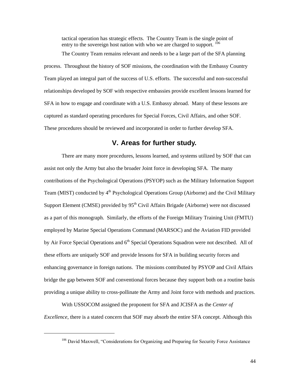tactical operation has strategic effects. The Country Team is the single point of entry to the sovereign host nation with who we are charged to support.  $^{106}$ 

The Country Team remains relevant and needs to be a large part of the SFA planning process. Throughout the history of SOF missions, the coordination with the Embassy Country Team played an integral part of the success of U.S. efforts. The successful and non-successful relationships developed by SOF with respective embassies provide excellent lessons learned for SFA in how to engage and coordinate with a U.S. Embassy abroad. Many of these lessons are captured as standard operating procedures for Special Forces, Civil Affairs, and other SOF. These procedures should be reviewed and incorporated in order to further develop SFA.

## **V. Areas for further study.**

There are many more procedures, lessons learned, and systems utilized by SOF that can assist not only the Army but also the broader Joint force in developing SFA. The many contributions of the Psychological Operations (PSYOP) such as the Military Information Support Team (MIST) conducted by  $4<sup>th</sup>$  Psychological Operations Group (Airborne) and the Civil Military Support Element (CMSE) provided by  $95<sup>th</sup>$  Civil Affairs Brigade (Airborne) were not discussed as a part of this monograph. Similarly, the efforts of the Foreign Military Training Unit (FMTU) employed by Marine Special Operations Command (MARSOC) and the Aviation FID provided by Air Force Special Operations and 6<sup>th</sup> Special Operations Squadron were not described. All of these efforts are uniquely SOF and provide lessons for SFA in building security forces and enhancing governance in foreign nations. The missions contributed by PSYOP and Civil Affairs bridge the gap between SOF and conventional forces because they support both on a routine basis providing a unique ability to cross-pollinate the Army and Joint force with methods and practices.

With USSOCOM assigned the proponent for SFA and JCISFA as the *Center of Excellence*, there is a stated concern that SOF may absorb the entire SFA concept. Although this

<sup>&</sup>lt;sup>106</sup> David Maxwell, "Considerations for Organizing and Preparing for Security Force Assistance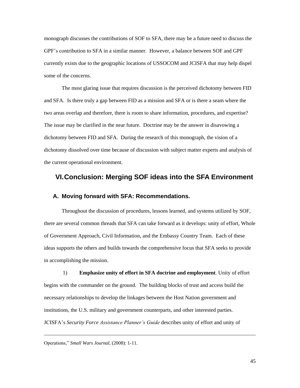monograph discusses the contributions of SOF to SFA, there may be a future need to discuss the GPF"s contribution to SFA in a similar manner. However, a balance between SOF and GPF currently exists due to the geographic locations of USSOCOM and JCISFA that may help dispel some of the concerns.

The most glaring issue that requires discussion is the perceived dichotomy between FID and SFA. Is there truly a gap between FID as a mission and SFA or is there a seam where the two areas overlap and therefore, there is room to share information, procedures, and expertise? The issue may be clarified in the near future. Doctrine may be the answer in disavowing a dichotomy between FID and SFA. During the research of this monograph, the vision of a dichotomy dissolved over time because of discussion with subject matter experts and analysis of the current operational environment.

## **VI. Conclusion: Merging SOF ideas into the SFA Environment**

## **A. Moving forward with SFA: Recommendations.**

Throughout the discussion of procedures, lessons learned, and systems utilized by SOF, there are several common threads that SFA can take forward as it develops: unity of effort, Whole of Government Approach, Civil Information, and the Embassy Country Team. Each of these ideas supports the others and builds towards the comprehensive focus that SFA seeks to provide in accomplishing the mission.

1) **Emphasize unity of effort in SFA doctrine and employment**. Unity of effort begins with the commander on the ground. The building blocks of trust and access build the necessary relationships to develop the linkages between the Host Nation government and institutions, the U.S. military and government counterparts, and other interested parties. JCISFA"s *Security Force Assistance Planner's Guide* describes unity of effort and unity of

Operations," *Small Wars Journal*, (2008): 1-11.

 $\overline{\phantom{a}}$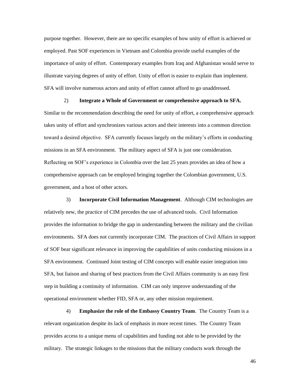purpose together. However, there are no specific examples of how unity of effort is achieved or employed. Past SOF experiences in Vietnam and Colombia provide useful examples of the importance of unity of effort. Contemporary examples from Iraq and Afghanistan would serve to illustrate varying degrees of unity of effort. Unity of effort is easier to explain than implement. SFA will involve numerous actors and unity of effort cannot afford to go unaddressed.

2) **Integrate a Whole of Government or comprehensive approach to SFA.** Similar to the recommendation describing the need for unity of effort, a comprehensive approach takes unity of effort and synchronizes various actors and their interests into a common direction toward a desired objective. SFA currently focuses largely on the military"s efforts in conducting missions in an SFA environment. The military aspect of SFA is just one consideration. Reflecting on SOF"s experience in Colombia over the last 25 years provides an idea of how a comprehensive approach can be employed bringing together the Colombian government, U.S. government, and a host of other actors.

3) **Incorporate Civil Information Management**. Although CIM technologies are relatively new, the practice of CIM precedes the use of advanced tools. Civil Information provides the information to bridge the gap in understanding between the military and the civilian environments. SFA does not currently incorporate CIM. The practices of Civil Affairs in support of SOF bear significant relevance in improving the capabilities of units conducting missions in a SFA environment. Continued Joint testing of CIM concepts will enable easier integration into SFA, but liaison and sharing of best practices from the Civil Affairs community is an easy first step in building a continuity of information. CIM can only improve understanding of the operational environment whether FID, SFA or, any other mission requirement.

4) **Emphasize the role of the Embassy Country Team**. The Country Team is a relevant organization despite its lack of emphasis in more recent times. The Country Team provides access to a unique menu of capabilities and funding not able to be provided by the military. The strategic linkages to the missions that the military conducts work through the

46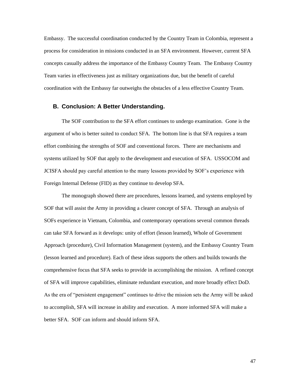Embassy. The successful coordination conducted by the Country Team in Colombia, represent a process for consideration in missions conducted in an SFA environment. However, current SFA concepts casually address the importance of the Embassy Country Team. The Embassy Country Team varies in effectiveness just as military organizations due, but the benefit of careful coordination with the Embassy far outweighs the obstacles of a less effective Country Team.

#### **B. Conclusion: A Better Understanding.**

The SOF contribution to the SFA effort continues to undergo examination. Gone is the argument of who is better suited to conduct SFA. The bottom line is that SFA requires a team effort combining the strengths of SOF and conventional forces. There are mechanisms and systems utilized by SOF that apply to the development and execution of SFA. USSOCOM and JCISFA should pay careful attention to the many lessons provided by SOF"s experience with Foreign Internal Defense (FID) as they continue to develop SFA.

The monograph showed there are procedures, lessons learned, and systems employed by SOF that will assist the Army in providing a clearer concept of SFA. Through an analysis of SOFs experience in Vietnam, Colombia, and contemporary operations several common threads can take SFA forward as it develops: unity of effort (lesson learned), Whole of Government Approach (procedure), Civil Information Management (system), and the Embassy Country Team (lesson learned and procedure). Each of these ideas supports the others and builds towards the comprehensive focus that SFA seeks to provide in accomplishing the mission. A refined concept of SFA will improve capabilities, eliminate redundant execution, and more broadly effect DoD. As the era of "persistent engagement" continues to drive the mission sets the Army will be asked to accomplish, SFA will increase in ability and execution. A more informed SFA will make a better SFA. SOF can inform and should inform SFA.

47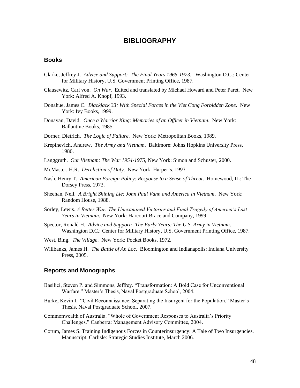## **BIBLIOGRAPHY**

## **Books**

- Clarke, Jeffrey J. *Advice and Support: The Final Years 1965-1973*. Washington D.C.: Center for Military History, U.S. Government Printing Office, 1987.
- Clausewitz, Carl von. *On War*. Edited and translated by Michael Howard and Peter Paret. New York: Alfred A. Knopf, 1993.
- Donahue, James C. *Blackjack 33: With Special Forces in the Viet Cong Forbidden Zone*. New York: Ivy Books, 1999.
- Donavan, David. *Once a Warrior King: Memories of an Officer in Vietnam*. New York: Ballantine Books, 1985.
- Dorner, Dietrich. *The Logic of Failure*. New York: Metropolitan Books, 1989.
- Krepinevich, Andrew. *The Army and Vietnam*. Baltimore: Johns Hopkins University Press, 1986.
- Langgruth. *Our Vietnam: The War 1954-1975*, New York: Simon and Schuster, 2000.
- McMaster, H.R. *Dereliction of Duty*. New York: Harper"s, 1997.
- Nash, Henry T. *American Foreign Policy: Response to a Sense of Threat*. Homewood, IL: The Dorsey Press, 1973.
- Sheehan, Neil. *A Bright Shining Lie: John Paul Vann and America in Vietnam*. New York: Random House, 1988.
- Sorley, Lewis. *A Better War: The Unexamined Victories and Final Tragedy of America's Last Years in Vietnam*. New York: Harcourt Brace and Company, 1999.
- Spector, Ronald H. *Advice and Support: The Early Years: The U.S. Army in Vietnam*. Washington D.C.: Center for Military History, U.S. Government Printing Office, 1987.
- West, Bing. *The Village*. New York: Pocket Books, 1972.
- Willbanks, James H. *The Battle of An Loc*. Bloomington and Indianapolis: Indiana University Press, 2005.

#### **Reports and Monographs**

- Basilici, Steven P. and Simmons, Jeffrey. "Transformation: A Bold Case for Unconventional Warfare." Master"s Thesis, Naval Postgraduate School, 2004.
- Burke, Kevin I. "Civil Reconnaissance; Separating the Insurgent for the Population." Master's Thesis, Naval Postgraduate School, 2007.
- Commonwealth of Australia. "Whole of Government Responses to Australia"s Priority Challenges." Canberra: Management Advisory Committee, 2004.
- Corum, James S. Training Indigenous Forces in Counterinsurgency: A Tale of Two Insurgencies. Manuscript, Carlisle: Strategic Studies Institute, March 2006.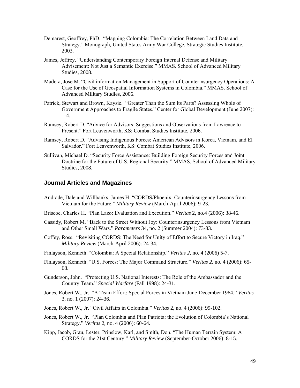- Demarest, Geoffrey, PhD. "Mapping Colombia: The Correlation Between Land Data and Strategy." Monograph, United States Army War College, Strategic Studies Institute, 2003.
- James, Jeffrey. "Understanding Contemporary Foreign Internal Defense and Military Advisement: Not Just a Semantic Exercise." MMAS. School of Advanced Military Studies, 2008.
- Madera, Jose M. "Civil information Management in Support of Counterinsurgency Operations: A Case for the Use of Geospatial Information Systems in Colombia." MMAS. School of Advanced Military Studies, 2006.
- Patrick, Stewart and Brown, Kaysie. "Greater Than the Sum its Parts? Assessing Whole of Government Approaches to Fragile States." Center for Global Development (June 2007): 1-4.
- Ramsey, Robert D. "Advice for Advisors: Suggestions and Observations from Lawrence to Present." Fort Leavenworth, KS: Combat Studies Institute, 2006.
- Ramsey, Robert D. "Advising Indigenous Forces: American Advisors in Korea, Vietnam, and El Salvador." Fort Leavenworth, KS: Combat Studies Institute, 2006.
- Sullivan, Michael D. "Security Force Assistance: Building Foreign Security Forces and Joint Doctrine for the Future of U.S. Regional Security." MMAS, School of Advanced Military Studies, 2008.

## **Journal Articles and Magazines**

- Andrade, Dale and Willbanks, James H. "CORDS/Phoenix: Counterinsurgency Lessons from Vietnam for the Future." *Military Review* (March-April 2006): 9-23.
- Briscoe, Charles H. "Plan Lazo: Evaluation and Execution." *Veritas* 2, no.4 (2006): 38-46.
- Cassidy, Robert M. "Back to the Street Without Joy: Counterinsurgency Lessons from Vietnam and Other Small Wars." *Parameters* 34, no. 2 (Summer 2004): 73-83.
- Coffey, Ross. "Revisiting CORDS: The Need for Unity of Effort to Secure Victory in Iraq." *Military Review* (March-April 2006): 24-34.
- Finlayson, Kenneth. "Colombia: A Special Relationship." *Veritas 2*, no. 4 (2006) 5-7.
- Finlayson, Kenneth. "U.S. Forces: The Major Command Structure." *Veritas 2*, no. 4 (2006): 65- 68.
- Gunderson, John. "Protecting U.S. National Interests: The Role of the Ambassador and the Country Team." *Special Warfare* (Fall 1998): 24-31.
- Jones, Robert W., Jr. "A Team Effort: Special Forces in Vietnam June-December 1964." *Veritas* 3, no. 1 (2007): 24-36.
- Jones, Robert W., Jr. "Civil Affairs in Colombia." *Veritas* 2, no. 4 (2006): 99-102.
- Jones, Robert W., Jr. "Plan Colombia and Plan Patriota: the Evolution of Colombia"s National Strategy." *Veritas* 2, no. 4 (2006): 60-64.
- Kipp, Jacob, Grau, Lester, Prinslow, Karl, and Smith, Don. "The Human Terrain System: A CORDS for the 21st Century." *Military Review* (September-October 2006): 8-15.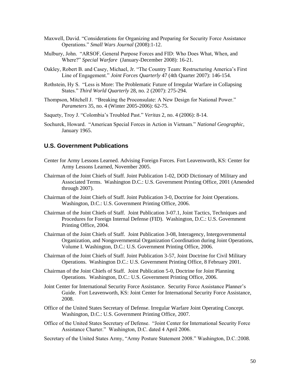- Maxwell, David. "Considerations for Organizing and Preparing for Security Force Assistance Operations." *Small Wars Journal* (2008):1-12.
- Mulbury, John. "ARSOF, General Purpose Forces and FID: Who Does What, When, and Where?" *Special Warfare* (January-December 2008): 16-21.
- Oakley, Robert B. and Casey, Michael, Jr. "The Country Team: Restructuring America"s First Line of Engagement." *Joint Forces Quarterly* 47 (4th Quarter 2007): 146-154.
- Rothstein, Hy S. "Less is More: The Problematic Future of Irregular Warfare in Collapsing States." *Third World Quarterly* 28, no. 2 (2007): 275-294.
- Thompson, Mitchell J. "Breaking the Proconsulate: A New Design for National Power." *Parameters* 35, no. 4 (Winter 2005-2006): 62-75.
- Saquety, Troy J. "Colombia"s Troubled Past." *Veritas* 2, no. 4 (2006): 8-14.
- Sochurek, Howard. "American Special Forces in Action in Vietnam." *National Geographic*, January 1965.

## **U.S. Government Publications**

- Center for Army Lessons Learned. Advising Foreign Forces. Fort Leavenworth, KS: Center for Army Lessons Learned, November 2005.
- Chairman of the Joint Chiefs of Staff. Joint Publication 1-02, DOD Dictionary of Military and Associated Terms. Washington D.C.: U.S. Government Printing Office, 2001 (Amended through 2007).
- Chairman of the Joint Chiefs of Staff. Joint Publication 3-0, Doctrine for Joint Operations. Washington, D.C.: U.S. Government Printing Office, 2006.
- Chairman of the Joint Chiefs of Staff. Joint Publication 3-07.1, Joint Tactics, Techniques and Procedures for Foreign Internal Defense (FID). Washington, D.C.: U.S. Government Printing Office, 2004.
- Chairman of the Joint Chiefs of Staff. Joint Publication 3-08, Interagency, Intergovernmental Organization, and Nongovernmental Organization Coordination during Joint Operations, Volume I. Washington, D.C.: U.S. Government Printing Office, 2006.
- Chairman of the Joint Chiefs of Staff. Joint Publication 3-57, Joint Doctrine for Civil Military Operations. Washington D.C.: U.S. Government Printing Office, 8 February 2001.
- Chairman of the Joint Chiefs of Staff. Joint Publication 5-0, Doctrine for Joint Planning Operations. Washington, D.C.: U.S. Government Printing Office, 2006.
- Joint Center for International Security Force Assistance. Security Force Assistance Planner"s Guide. Fort Leavenworth, KS: Joint Center for International Security Force Assistance, 2008.
- Office of the United States Secretary of Defense. Irregular Warfare Joint Operating Concept. Washington, D.C.: U.S. Government Printing Office, 2007.
- Office of the United States Secretary of Defense. "Joint Center for International Security Force Assistance Charter." Washington, D.C. dated 4 April 2006.

Secretary of the United States Army, "Army Posture Statement 2008." Washington, D.C.:2008.